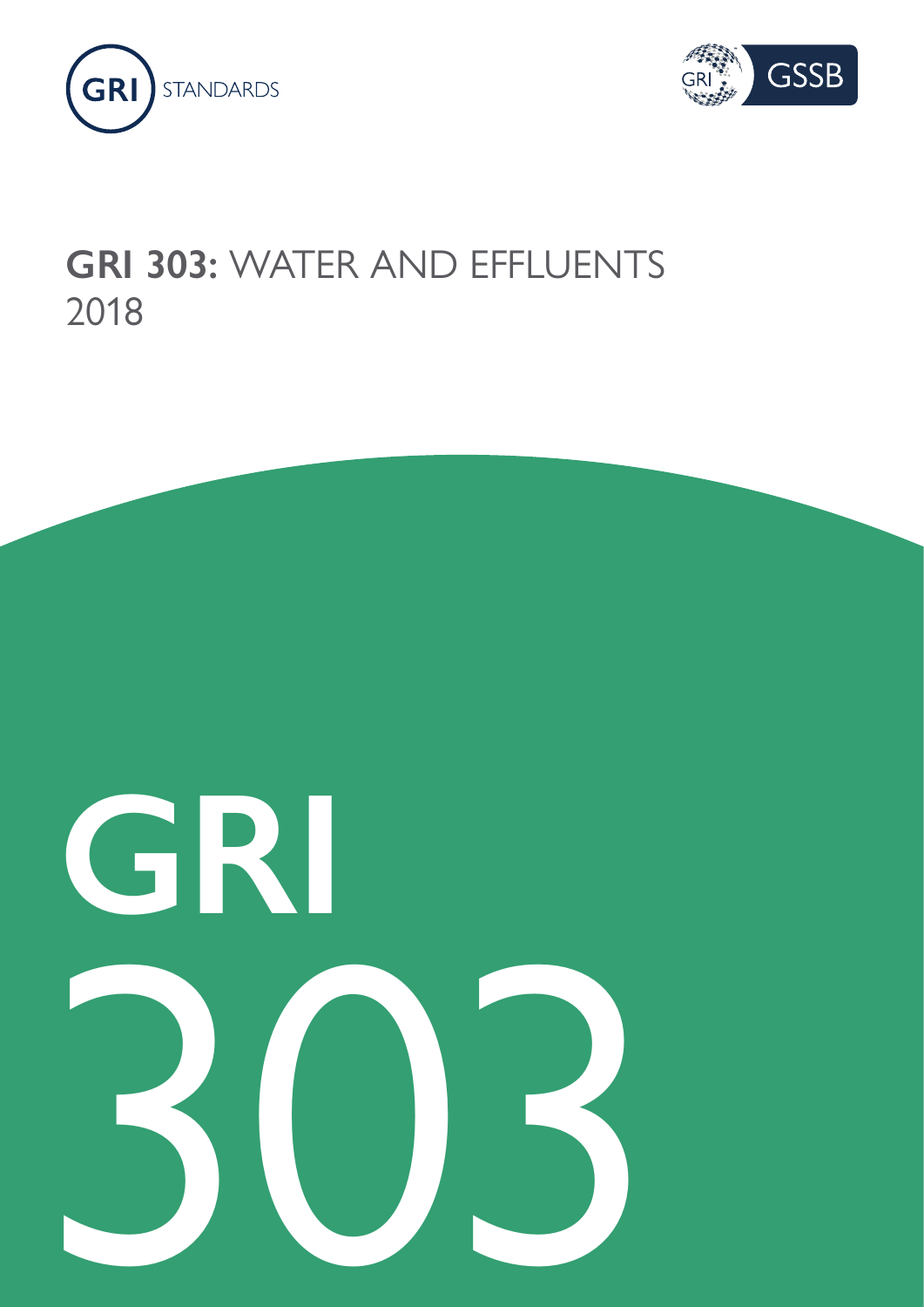



## **GRI 303:** WATER AND EFFLUENTS 2018

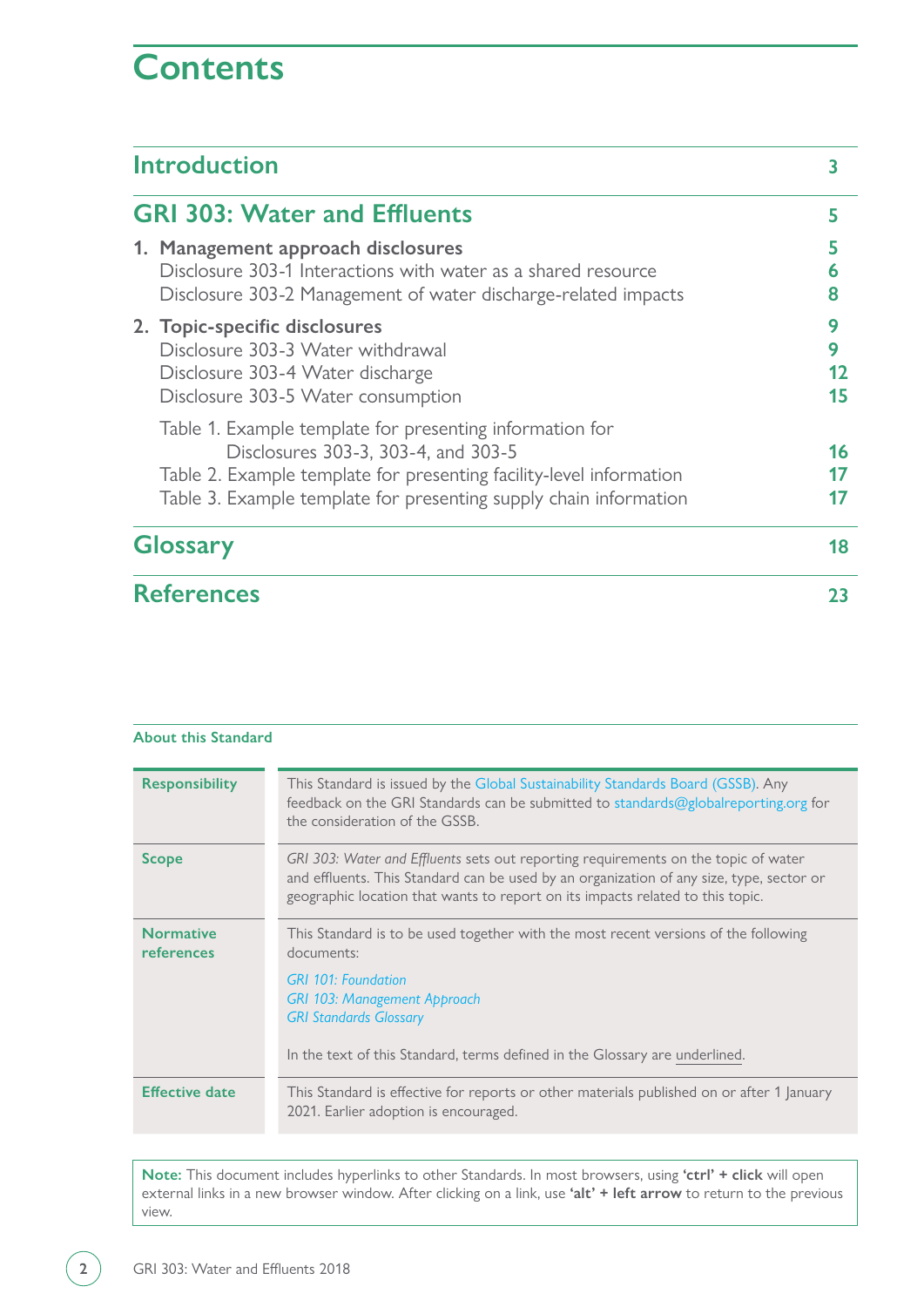## **Contents**

| <b>Introduction</b>                                                                                                                                                                                                                         |                    |
|---------------------------------------------------------------------------------------------------------------------------------------------------------------------------------------------------------------------------------------------|--------------------|
| <b>GRI 303: Water and Effluents</b>                                                                                                                                                                                                         | 5                  |
| 1. Management approach disclosures<br>Disclosure 303-1 Interactions with water as a shared resource<br>Disclosure 303-2 Management of water discharge-related impacts                                                                       | 6<br>8             |
| 2. Topic-specific disclosures<br>Disclosure 303-3 Water withdrawal<br>Disclosure 303-4 Water discharge<br>Disclosure 303-5 Water consumption                                                                                                | 9<br>9<br>12<br>15 |
| Table 1. Example template for presenting information for<br>Disclosures 303-3, 303-4, and 303-5<br>Table 2. Example template for presenting facility-level information<br>Table 3. Example template for presenting supply chain information | 16<br>17<br>17     |
| <b>Glossary</b>                                                                                                                                                                                                                             | 18                 |
| <b>References</b>                                                                                                                                                                                                                           | 23                 |

| <b>About this Standard</b>     |                                                                                                                                                                                                                                                                  |
|--------------------------------|------------------------------------------------------------------------------------------------------------------------------------------------------------------------------------------------------------------------------------------------------------------|
| <b>Responsibility</b>          | This Standard is issued by the Global Sustainability Standards Board (GSSB). Any<br>feedback on the GRI Standards can be submitted to standards@globalreporting.org for<br>the consideration of the GSSB.                                                        |
| <b>Scope</b>                   | GRI 303: Water and Effluents sets out reporting requirements on the topic of water<br>and effluents. This Standard can be used by an organization of any size, type, sector or<br>geographic location that wants to report on its impacts related to this topic. |
| <b>Normative</b><br>references | This Standard is to be used together with the most recent versions of the following<br>documents:                                                                                                                                                                |
|                                | <b>GRI 101: Foundation</b><br><b>GRI 103: Management Approach</b>                                                                                                                                                                                                |
|                                | <b>GRI Standards Glossary</b>                                                                                                                                                                                                                                    |
|                                | In the text of this Standard, terms defined in the Glossary are underlined.                                                                                                                                                                                      |
| <b>Effective date</b>          | This Standard is effective for reports or other materials published on or after 1 January<br>2021. Earlier adoption is encouraged.                                                                                                                               |

**Note:** This document includes hyperlinks to other Standards. In most browsers, using **'ctrl' + click** will open external links in a new browser window. After clicking on a link, use **'alt' + left arrow** to return to the previous view.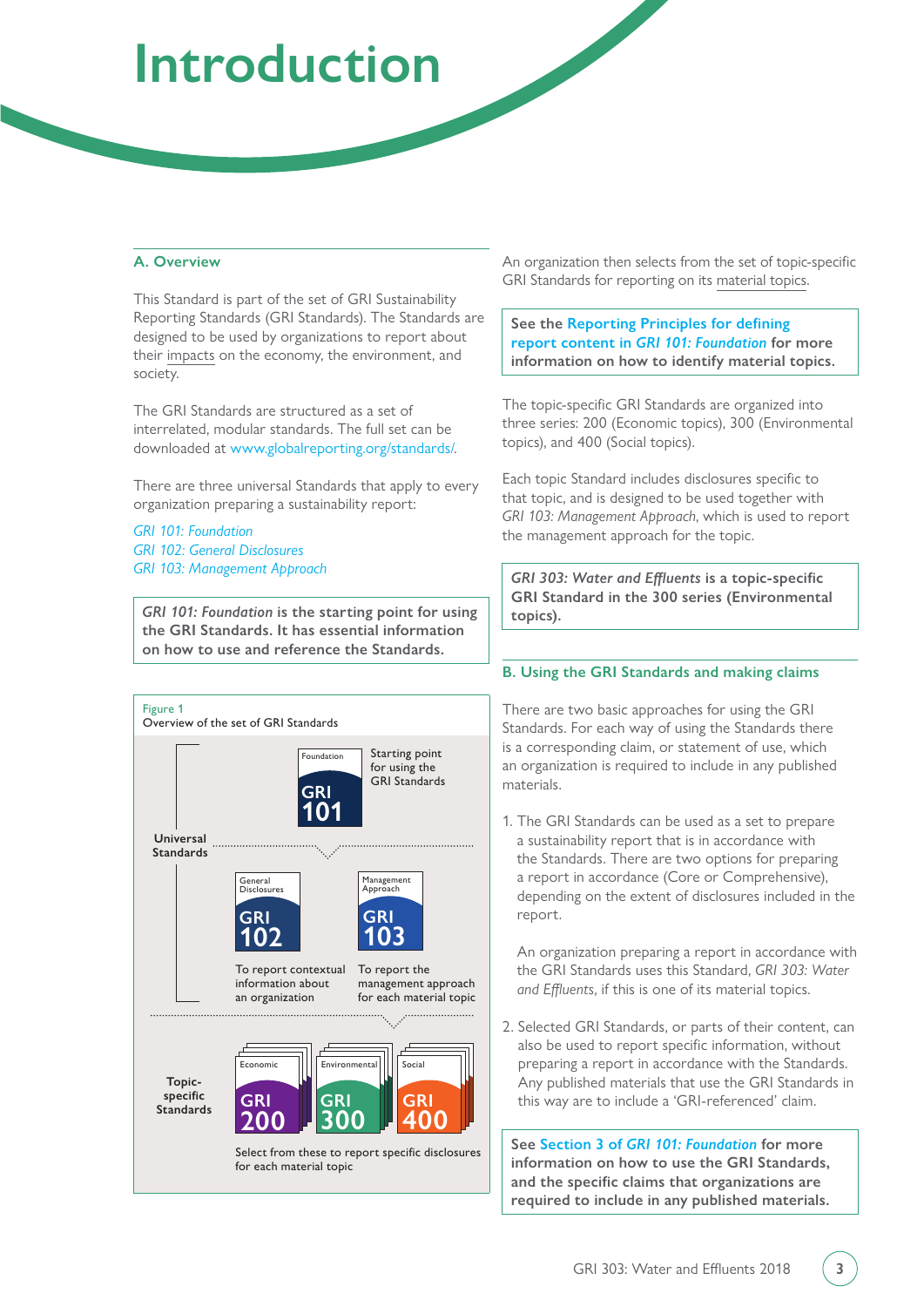# <span id="page-2-0"></span>**Introduction**

#### **A. Overview**

This Standard is part of the set of GRI Sustainability Reporting Standards (GRI Standards). The Standards are designed to be used by organizations to report about their [impacts](#page-17-1) on the economy, the environment, and society.

The GRI Standards are structured as a set of interrelated, modular standards. The full set can be downloaded at [www.globalreporting.org/standards/.](http://www.globalreporting.org/standards/)

There are three universal Standards that apply to every organization preparing a sustainability report:

*[GRI 101: Foundation](https://www.globalreporting.org/standards/media/1036/gri-101-foundation-2016.pdf) [GRI 102: General Disclosures](https://www.globalreporting.org/standards/media/1037/gri-102-general-disclosures-2016.pdf) [GRI 103: Management Approach](https://www.globalreporting.org/standards/media/1038/gri-103-management-approach-2016.pdf)*

*GRI 101: Foundation* **is the starting point for using the GRI Standards. It has essential information on how to use and reference the Standards.** 



An organization then selects from the set of topic-specific GRI Standards for reporting on its [material topics.](#page-18-0)

#### **See the [Reporting Principles for defining](https://www.globalreporting.org/standards/media/1036/gri-101-foundation-2016.pdf#page=8)  report content in** *[GRI 101: Foundation](https://www.globalreporting.org/standards/media/1036/gri-101-foundation-2016.pdf#page=8)* **for more information on how to identify material topics.**

The topic-specific GRI Standards are organized into three series: 200 (Economic topics), 300 (Environmental topics), and 400 (Social topics).

Each topic Standard includes disclosures specific to that topic, and is designed to be used together with *GRI 103: Management Approach*, which is used to report the management approach for the topic.

*GRI 303: Water and Effluents* **is a topic-specific GRI Standard in the 300 series (Environmental topics).**

#### **B. Using the GRI Standards and making claims**

There are two basic approaches for using the GRI Standards. For each way of using the Standards there is a corresponding claim, or statement of use, which an organization is required to include in any published materials.

1. The GRI Standards can be used as a set to prepare a sustainability report that is in accordance with the Standards. There are two options for preparing a report in accordance (Core or Comprehensive), depending on the extent of disclosures included in the report.

An organization preparing a report in accordance with the GRI Standards uses this Standard, *GRI 303: Water and Effluents*, if this is one of its material topics.

2. Selected GRI Standards, or parts of their content, can also be used to report specific information, without preparing a report in accordance with the Standards. Any published materials that use the GRI Standards in this way are to include a 'GRI-referenced' claim.

**See Section 3 of** *[GRI 101: Foundation](https://www.globalreporting.org/standards/media/1036/gri-101-foundation-2016.pdf#page=21)* **for more information on how to use the GRI Standards, and the specific claims that organizations are required to include in any published materials.**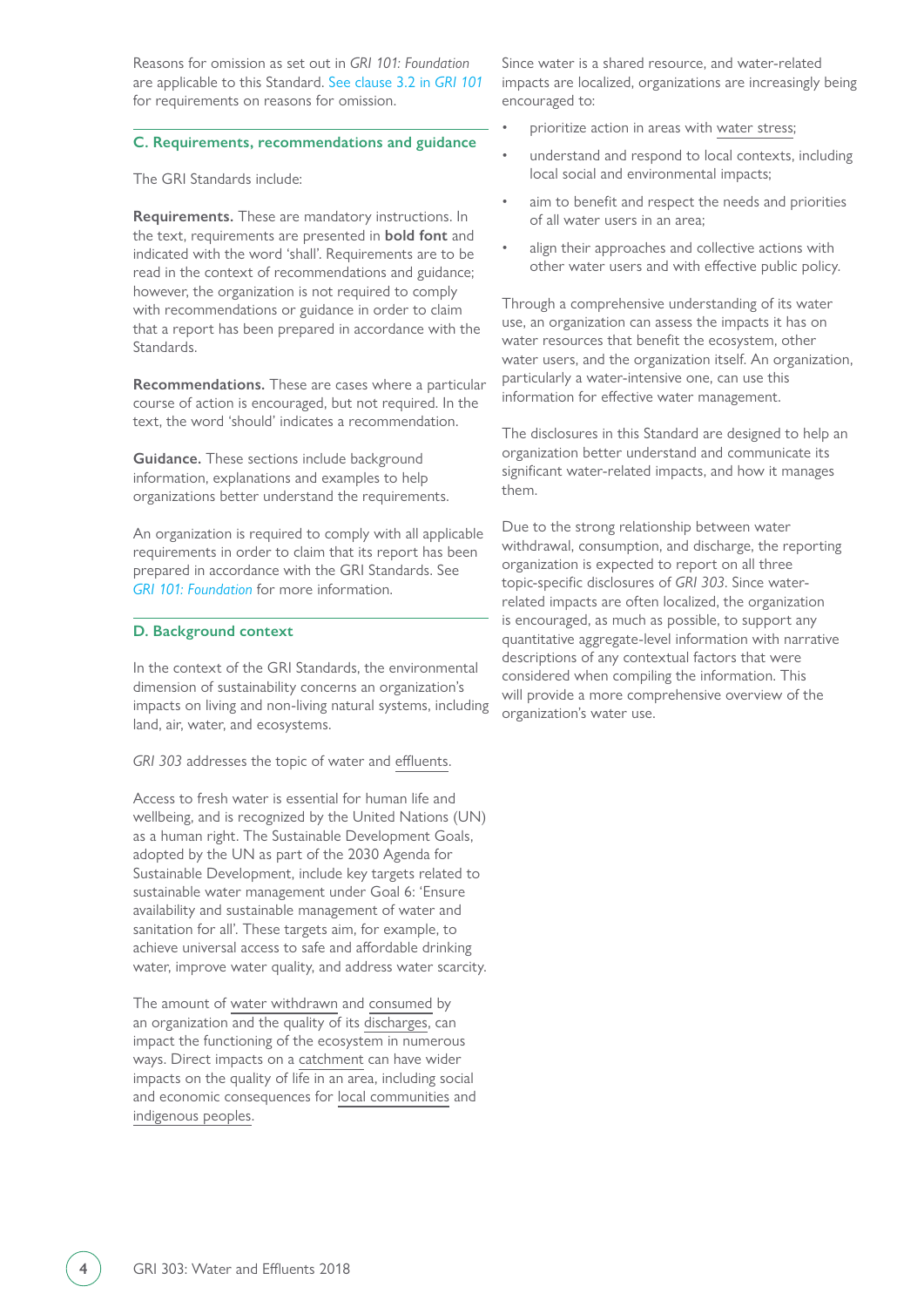Reasons for omission as set out in *GRI 101: Foundation* are applicable to this Standard. [See clause 3.2 in](https://www.globalreporting.org/standards/media/1036/gri-101-foundation-2016.pdf#page=24) *GRI 101* for requirements on reasons for omission.

#### **C. Requirements, recommendations and guidance**

The GRI Standards include:

**Requirements.** These are mandatory instructions. In the text, requirements are presented in **bold font** and indicated with the word 'shall'. Requirements are to be read in the context of recommendations and guidance; however, the organization is not required to comply with recommendations or guidance in order to claim that a report has been prepared in accordance with the Standards.

**Recommendations.** These are cases where a particular course of action is encouraged, but not required. In the text, the word 'should' indicates a recommendation.

**Guidance.** These sections include background information, explanations and examples to help organizations better understand the requirements.

An organization is required to comply with all applicable requirements in order to claim that its report has been prepared in accordance with the GRI Standards. See *[GRI 101: Foundation](https://www.globalreporting.org/standards/media/1036/gri-101-foundation-2016.pdf#page=21)* for more information.

#### **D. Background context**

In the context of the GRI Standards, the environmental dimension of sustainability concerns an organization's impacts on living and non-living natural systems, including land, air, water, and ecosystems.

*GRI 303* addresses the topic of water and [effluents](#page-17-2).

Access to fresh water is essential for human life and wellbeing, and is recognized by the United Nations (UN) as a human right. The Sustainable Development Goals, adopted by the UN as part of the 2030 Agenda for Sustainable Development, include key targets related to sustainable water management under Goal 6: 'Ensure availability and sustainable management of water and sanitation for all'. These targets aim, for example, to achieve universal access to safe and affordable drinking water, improve water quality, and address water scarcity.

The amount of [water withdrawn](#page-21-0) and [consumed](#page-20-0) by an organization and the quality of its [discharges,](#page-21-1) can impact the functioning of the ecosystem in numerous ways. Direct impacts on a [catchment](#page-17-3) can have wider impacts on the quality of life in an area, including social and economic consequences for [local communities](#page-18-1) and [indigenous peoples](#page-18-2).

Since water is a shared resource, and water-related impacts are localized, organizations are increasingly being encouraged to:

- prioritize action in areas with [water stress](#page-21-2);
- understand and respond to local contexts, including local social and environmental impacts;
- aim to benefit and respect the needs and priorities of all water users in an area;
- align their approaches and collective actions with other water users and with effective public policy.

Through a comprehensive understanding of its water use, an organization can assess the impacts it has on water resources that benefit the ecosystem, other water users, and the organization itself. An organization, particularly a water-intensive one, can use this information for effective water management.

The disclosures in this Standard are designed to help an organization better understand and communicate its significant water-related impacts, and how it manages them.

Due to the strong relationship between water withdrawal, consumption, and discharge, the reporting organization is expected to report on all three topic-specific disclosures of *GRI 303*. Since waterrelated impacts are often localized, the organization is encouraged, as much as possible, to support any quantitative aggregate-level information with narrative descriptions of any contextual factors that were considered when compiling the information. This will provide a more comprehensive overview of the organization's water use.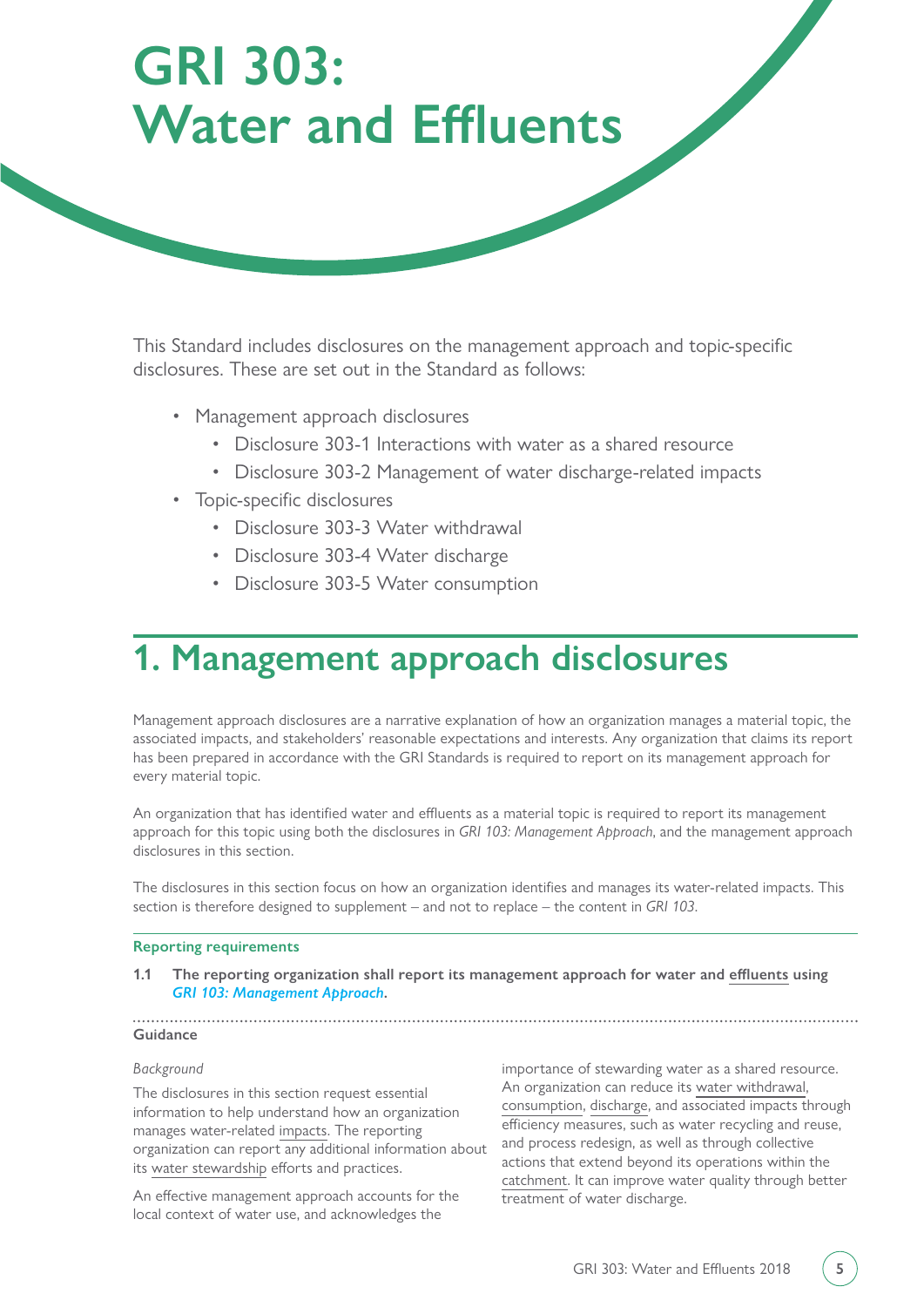# <span id="page-4-0"></span>**GRI 303: Water and Effluents**

This Standard includes disclosures on the management approach and topic-specific disclosures. These are set out in the Standard as follows:

- Management approach disclosures
	- Disclosure 303-1 Interactions with water as a shared resource
	- Disclosure 303-2 Management of water discharge-related impacts
- Topic-specific disclosures
	- Disclosure 303-3 Water withdrawal
	- Disclosure 303-4 Water discharge
	- Disclosure 303-5 Water consumption

## **1. Management approach disclosures**

Management approach disclosures are a narrative explanation of how an organization manages a material topic, the associated impacts, and stakeholders' reasonable expectations and interests. Any organization that claims its report has been prepared in accordance with the GRI Standards is required to report on its management approach for every material topic.

An organization that has identified water and effluents as a material topic is required to report its management approach for this topic using both the disclosures in *GRI 103: Management Approach*, and the management approach disclosures in this section.

The disclosures in this section focus on how an organization identifies and manages its water-related impacts. This section is therefore designed to supplement – and not to replace – the content in *GRI 103*.

#### **Reporting requirements**

**1.1 The reporting organization shall report its management approach for water and [effluents](#page-17-2) using**  *[GRI 103: Management Approach](https://www.globalreporting.org/standards/media/1038/gri-103-management-approach-2016.pdf)***.**

#### **Guidance**

#### *Background*

The disclosures in this section request essential information to help understand how an organization manages water-related [impacts.](#page-17-1) The reporting organization can report any additional information about its [water stewardship](#page-21-3) efforts and practices.

An effective management approach accounts for the local context of water use, and acknowledges the

importance of stewarding water as a shared resource. An organization can reduce its [water withdrawal](#page-21-0), [consumption,](#page-20-0) [discharge,](#page-21-1) and associated impacts through efficiency measures, such as water recycling and reuse, and process redesign, as well as through collective actions that extend beyond its operations within the [catchment.](#page-17-3) It can improve water quality through better treatment of water discharge.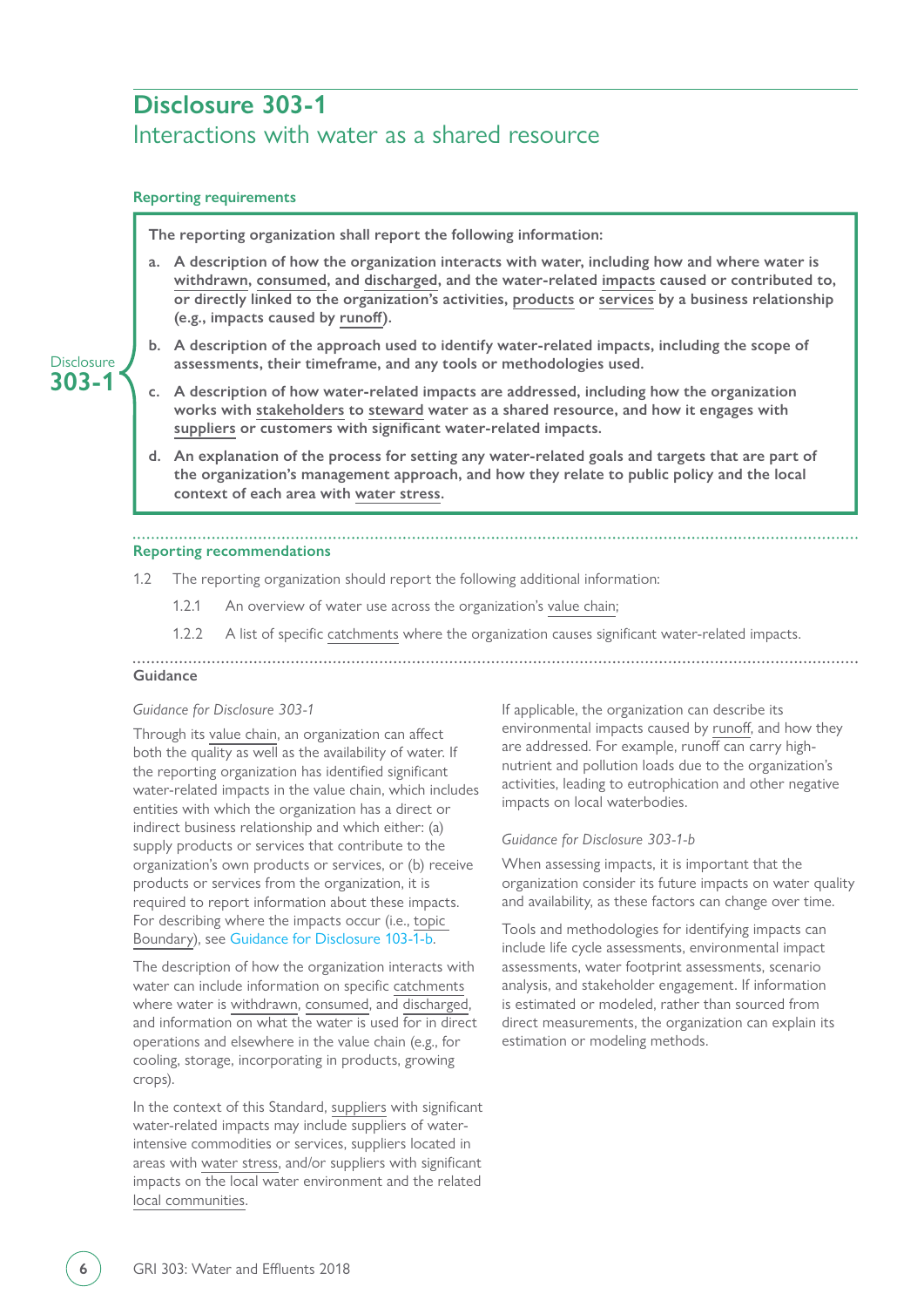### <span id="page-5-0"></span>**Disclosure 303-1**  Interactions with water as a shared resource

#### **Reporting requirements**

**The reporting organization shall report the following information:**

- **a. A description of how the organization interacts with water, including how and where water is [withdrawn](#page-21-0), [consumed,](#page-20-0) and [discharged](#page-21-1), and the water-related [impacts](#page-17-1) caused or contributed to, or directly linked to the organization's activities, [products](#page-18-3) or [services](#page-19-2) by a business relationship (e.g., impacts caused by [runoff\)](#page-19-1).**
- **b. A description of the approach used to identify water-related impacts, including the scope of assessments, their timeframe, and any tools or methodologies used.**
- **c. A description of how water-related impacts are addressed, including how the organization works with [stakeholders](#page-19-3) to [steward](#page-21-3) water as a shared resource, and how it engages with [suppliers](#page-19-0) or customers with significant water-related impacts.**
- **d. An explanation of the process for setting any water-related goals and targets that are part of the organization's management approach, and how they relate to public policy and the local context of each area with [water stress](#page-21-2).**

#### **Reporting recommendations**

- 1.2 The reporting organization should report the following additional information:
	- 1.2.1 An overview of water use across the organization's [value chain;](#page-20-1)
	- 1.2.2 A list of specific [catchments](#page-17-3) where the organization causes significant water-related impacts.

#### **Guidance**

#### *Guidance for Disclosure 303-1*

Through its [value chain,](#page-20-1) an organization can affect both the quality as well as the availability of water. If the reporting organization has identified significant water-related impacts in the value chain, which includes entities with which the organization has a direct or indirect business relationship and which either: (a) supply products or services that contribute to the organization's own products or services, or (b) receive products or services from the organization, it is required to report information about these impacts. For describing where the impacts occur (i.e., [topic](#page-20-2)  [Boundary\)](#page-20-2), see [Guidance for Disclosure 103-1-b](https://www.globalreporting.org/standards/media/1038/gri-103-management-approach-2016.pdf#page=6).

The description of how the organization interacts with water can include information on specific [catchments](#page-17-3) where water is [withdrawn](#page-21-0), [consumed,](#page-20-0) and [discharged,](#page-21-1) and information on what the water is used for in direct operations and elsewhere in the value chain (e.g., for cooling, storage, incorporating in products, growing crops).

In the context of this Standard, [suppliers](#page-19-0) with significant water-related impacts may include suppliers of waterintensive commodities or services, suppliers located in areas with [water stress](#page-21-2), and/or suppliers with significant impacts on the local water environment and the related [local communities](#page-18-1).

If applicable, the organization can describe its environmental impacts caused by [runoff,](#page-19-1) and how they are addressed. For example, runoff can carry highnutrient and pollution loads due to the organization's activities, leading to eutrophication and other negative impacts on local waterbodies.

#### *Guidance for Disclosure 303-1-b*

When assessing impacts, it is important that the organization consider its future impacts on water quality and availability, as these factors can change over time.

Tools and methodologies for identifying impacts can include life cycle assessments, environmental impact assessments, water footprint assessments, scenario analysis, and stakeholder engagement. If information is estimated or modeled, rather than sourced from direct measurements, the organization can explain its estimation or modeling methods.

#### **Disclosure 303-1**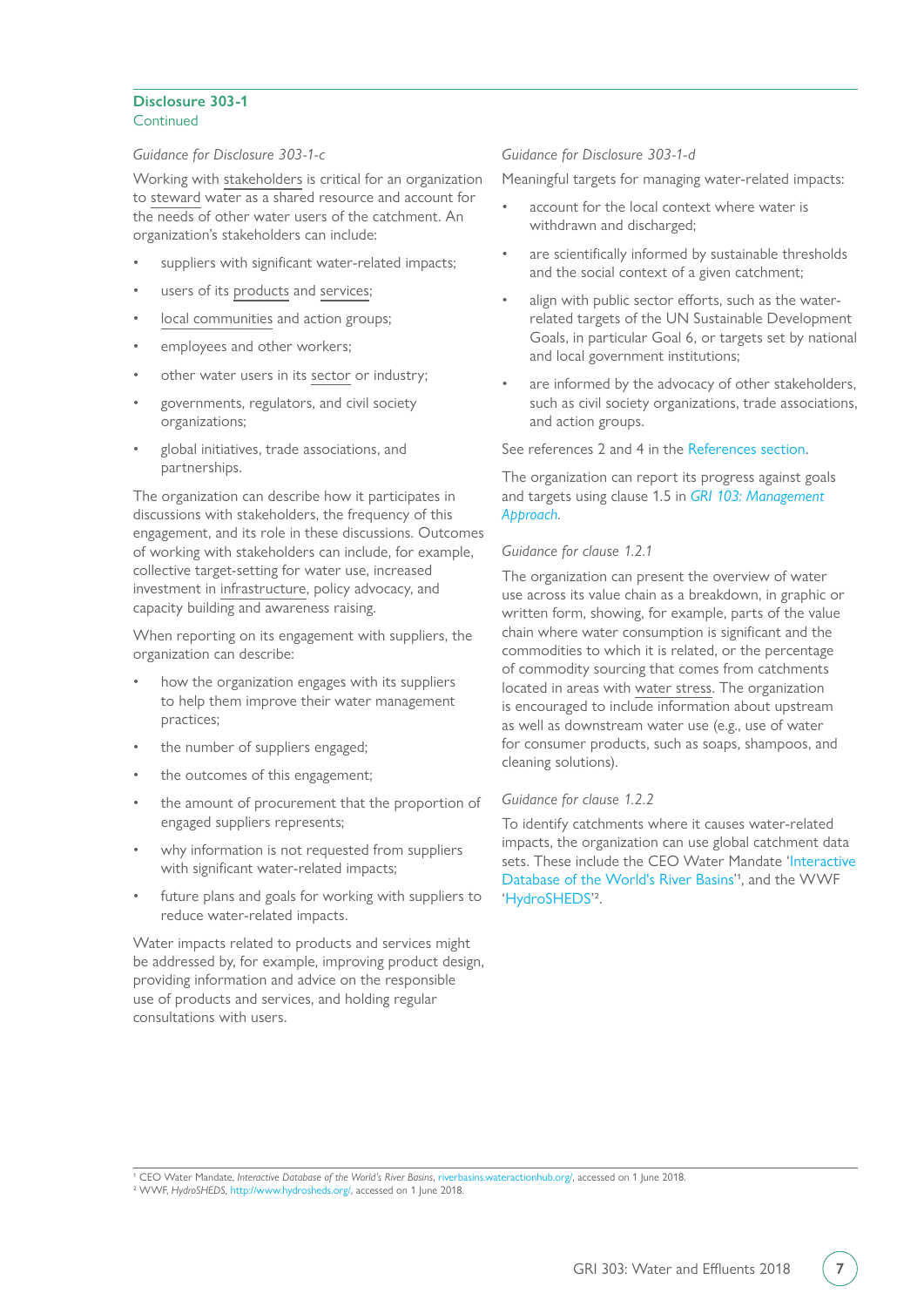#### **Disclosure 303-1 Continued**

#### *Guidance for Disclosure 303-1-c*

Working with [stakeholders](#page-19-3) is critical for an organization to [steward](#page-21-3) water as a shared resource and account for the needs of other water users of the catchment. An organization's stakeholders can include:

- suppliers with significant water-related impacts;
- users of its [products](#page-18-3) and [services](#page-19-2);
- [local communities](#page-18-1) and action groups:
- employees and other workers;
- other water users in its [sector](#page-19-4) or industry;
- governments, regulators, and civil society organizations;
- global initiatives, trade associations, and partnerships.

The organization can describe how it participates in discussions with stakeholders, the frequency of this engagement, and its role in these discussions. Outcomes of working with stakeholders can include, for example, collective target-setting for water use, increased investment in [infrastructure](#page-18-4), policy advocacy, and capacity building and awareness raising.

When reporting on its engagement with suppliers, the organization can describe:

- how the organization engages with its suppliers to help them improve their water management practices;
- the number of suppliers engaged;
- the outcomes of this engagement;
- the amount of procurement that the proportion of engaged suppliers represents;
- why information is not requested from suppliers with significant water-related impacts;
- future plans and goals for working with suppliers to reduce water-related impacts.

Water impacts related to products and services might be addressed by, for example, improving product design, providing information and advice on the responsible use of products and services, and holding regular consultations with users.

#### *Guidance for Disclosure 303-1-d*

Meaningful targets for managing water-related impacts:

- account for the local context where water is withdrawn and discharged;
- are scientifically informed by sustainable thresholds and the social context of a given catchment;
- align with public sector efforts, such as the waterrelated targets of the UN Sustainable Development Goals, in particular Goal 6, or targets set by national and local government institutions;
- are informed by the advocacy of other stakeholders, such as civil society organizations, trade associations, and action groups.

See references 2 and 4 in the [References section](#page-22-0).

The organization can report its progress against goals and targets using clause 1.5 in *[GRI 103: Management](https://www.globalreporting.org/standards/media/1038/gri-103-management-approach-2016.pdf#page=9)  [Approach](https://www.globalreporting.org/standards/media/1038/gri-103-management-approach-2016.pdf#page=9)*.

#### *Guidance for clause 1.2.1*

The organization can present the overview of water use across its value chain as a breakdown, in graphic or written form, showing, for example, parts of the value chain where water consumption is significant and the commodities to which it is related, or the percentage of commodity sourcing that comes from catchments located in areas with [water stress.](#page-21-2) The organization is encouraged to include information about upstream as well as downstream water use (e.g., use of water for consumer products, such as soaps, shampoos, and cleaning solutions).

#### *Guidance for clause 1.2.2*

To identify catchments where it causes water-related impacts, the organization can use global catchment data sets. These include the CEO Water Mandate '[Interactive](http://riverbasins.wateractionhub.org/)  [Database of the World's River Basins'](http://riverbasins.wateractionhub.org/)1, and the WWF '[HydroSHEDS'](http://www.hydrosheds.org/)2.

1 CEO Water Mandate, *Interactive Database of the World's River Basins*, [riverbasins.wateractionhub.org/](http://riverbasins.wateractionhub.org/), accessed on 1 June 2018.

<sup>2</sup> WWF, *HydroSHEDS*, <http://www.hydrosheds.org/>, accessed on 1 June 2018.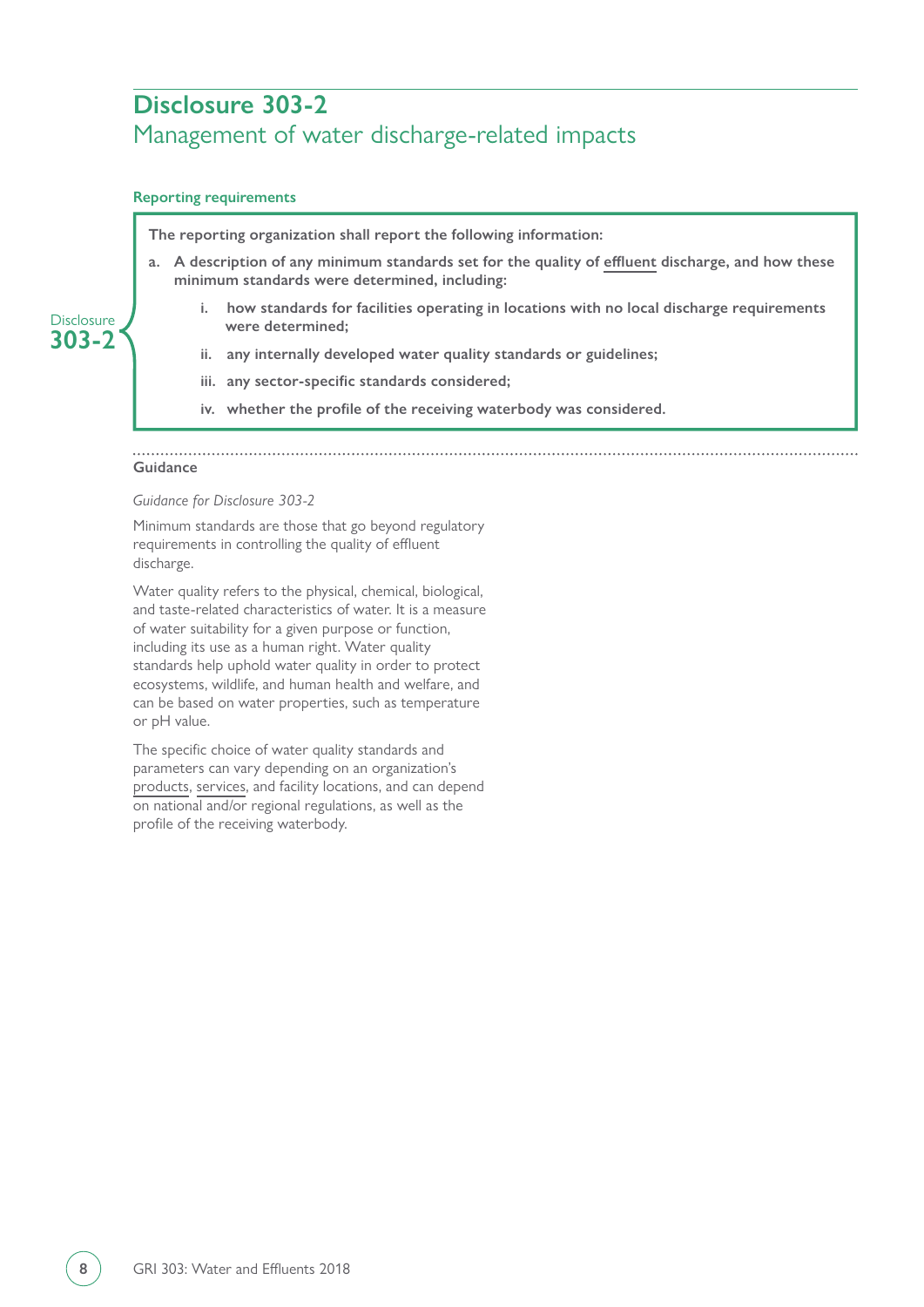## <span id="page-7-0"></span>**Disclosure 303-2** Management of water discharge-related impacts

#### **Reporting requirements**



- **a. A description of any minimum standards set for the quality of [effluent](#page-17-2) discharge, and how these minimum standards were determined, including:**
	- **i. how standards for facilities operating in locations with no local discharge requirements were determined;**
	- **ii. any internally developed water quality standards or guidelines;**
	- **iii. any sector-specific standards considered;**
	- **iv. whether the profile of the receiving waterbody was considered.**

#### **Guidance**

**Disclosure 303-2**

#### *Guidance for Disclosure 303-2*

Minimum standards are those that go beyond regulatory requirements in controlling the quality of effluent discharge.

Water quality refers to the physical, chemical, biological, and taste-related characteristics of water. It is a measure of water suitability for a given purpose or function, including its use as a human right. Water quality standards help uphold water quality in order to protect ecosystems, wildlife, and human health and welfare, and can be based on water properties, such as temperature or pH value.

The specific choice of water quality standards and parameters can vary depending on an organization's [products,](#page-18-3) [services](#page-19-2), and facility locations, and can depend on national and/or regional regulations, as well as the profile of the receiving waterbody.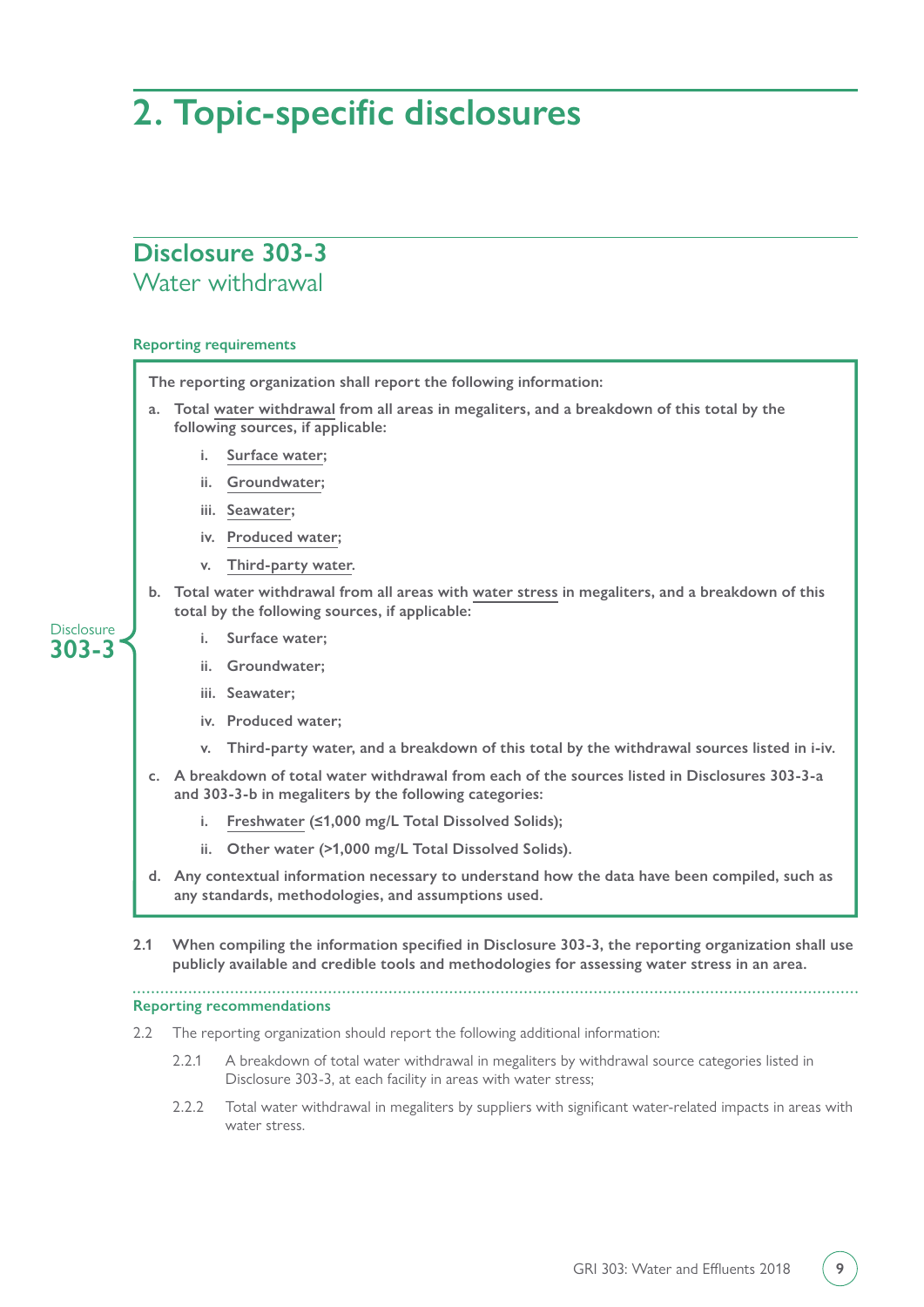## <span id="page-8-0"></span>**2. Topic-specific disclosures**

### **Disclosure 303-3** Water withdrawal

#### **Reporting requirements**

**Disclosure 303-3**

|                      | The reporting organization shall report the following information:                                                                                                                                                                                                                 |
|----------------------|------------------------------------------------------------------------------------------------------------------------------------------------------------------------------------------------------------------------------------------------------------------------------------|
| a.                   | Total water withdrawal from all areas in megaliters, and a breakdown of this total by the<br>following sources, if applicable:                                                                                                                                                     |
|                      | Surface water;<br>i.                                                                                                                                                                                                                                                               |
|                      | Groundwater;<br>ii.                                                                                                                                                                                                                                                                |
|                      | iii. Seawater;                                                                                                                                                                                                                                                                     |
|                      | iv. Produced water;                                                                                                                                                                                                                                                                |
|                      | Third-party water.<br>v.                                                                                                                                                                                                                                                           |
| b.                   | Total water withdrawal from all areas with water stress in megaliters, and a breakdown of this<br>total by the following sources, if applicable:                                                                                                                                   |
|                      | Surface water;<br>i.                                                                                                                                                                                                                                                               |
|                      | ii. Groundwater;                                                                                                                                                                                                                                                                   |
|                      | iii. Seawater;                                                                                                                                                                                                                                                                     |
|                      | iv. Produced water:                                                                                                                                                                                                                                                                |
|                      | Third-party water, and a breakdown of this total by the withdrawal sources listed in i-iv.<br>v.                                                                                                                                                                                   |
|                      | c. A breakdown of total water withdrawal from each of the sources listed in Disclosures 303-3-a<br>and 303-3-b in megaliters by the following categories:                                                                                                                          |
|                      | Freshwater (≤1,000 mg/L Total Dissolved Solids);<br>i.                                                                                                                                                                                                                             |
|                      | Other water (>1,000 mg/L Total Dissolved Solids).<br>ii.                                                                                                                                                                                                                           |
|                      | d. Any contextual information necessary to understand how the data have been compiled, such as<br>any standards, methodologies, and assumptions used.                                                                                                                              |
| 2.1                  | When compiling the information specified in Disclosure 303-3, the reporting organization shall use<br>publicly available and credible tools and methodologies for assessing water stress in an area.                                                                               |
|                      | <b>Reporting recommendations</b>                                                                                                                                                                                                                                                   |
| $\sim$ $\sim$ $\sim$ | $\sim$ $\sim$ $\sim$ $\sim$ $\sim$ $\sim$ $\sim$<br>and the contract of the contract of the contract of the contract of the contract of the contract of the contract of the contract of the contract of the contract of the contract of the contract of the contract of the contra |

- 2.2 The reporting organization should report the following additional information:
	- 2.2.1 A breakdown of total water withdrawal in megaliters by withdrawal source categories listed in Disclosure 303-3, at each facility in areas with water stress;
	- 2.2.2 Total water withdrawal in megaliters by suppliers with significant water-related impacts in areas with water stress.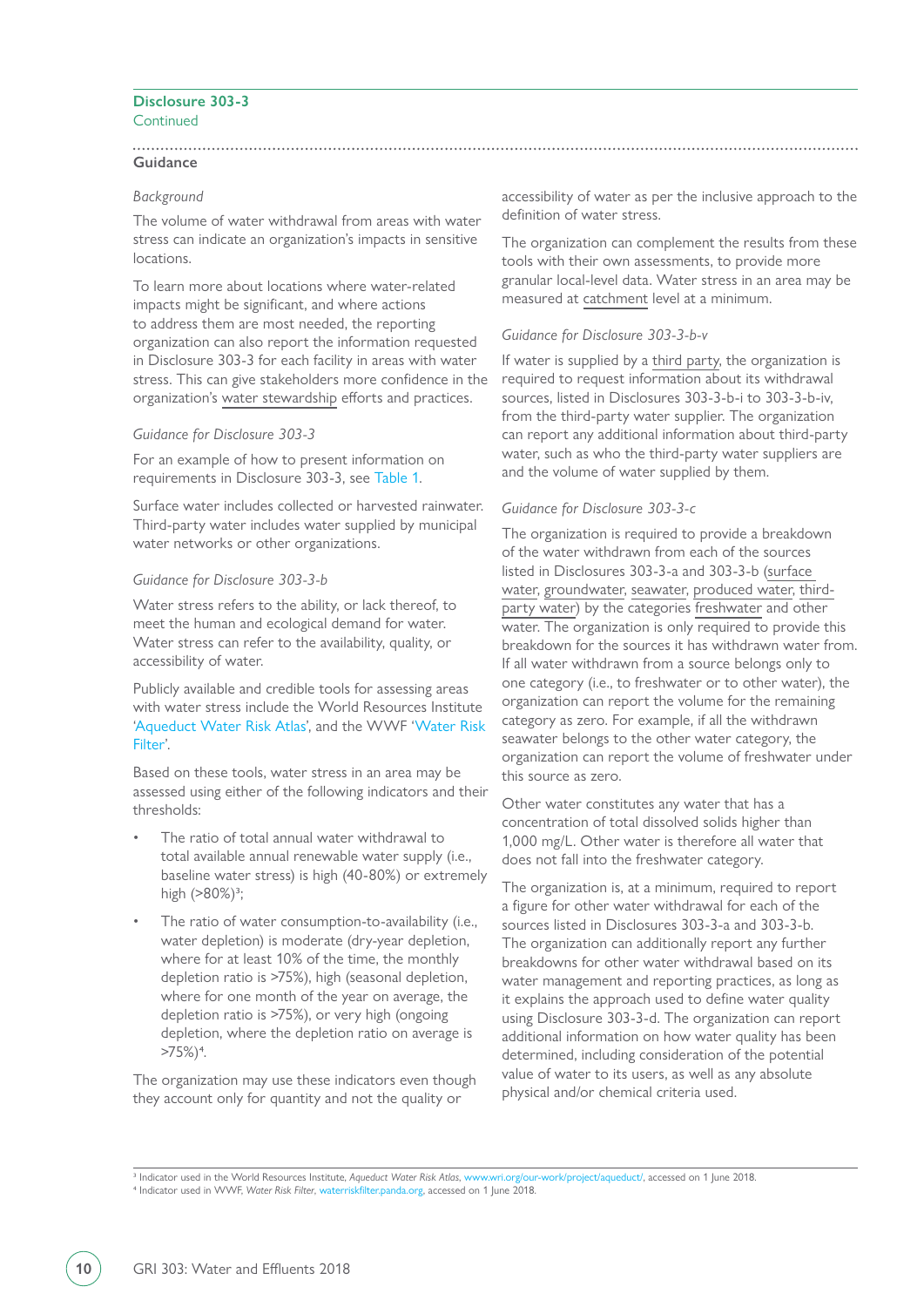#### <span id="page-9-0"></span>**Disclosure 303-3 Continued**

#### **Guidance**

#### *Background*

The volume of water withdrawal from areas with water stress can indicate an organization's impacts in sensitive locations.

To learn more about locations where water-related impacts might be significant, and where actions to address them are most needed, the reporting organization can also report the information requested in Disclosure 303-3 for each facility in areas with water stress. This can give stakeholders more confidence in the organization's [water stewardship](#page-21-3) efforts and practices.

#### *Guidance for Disclosure 303-3*

For an example of how to present information on requirements in Disclosure 303-3, see [Table 1](#page-15-0).

Surface water includes collected or harvested rainwater. Third-party water includes water supplied by municipal water networks or other organizations.

#### *Guidance for Disclosure 303-3-b*

Water stress refers to the ability, or lack thereof, to meet the human and ecological demand for water. Water stress can refer to the availability, quality, or accessibility of water.

Publicly available and credible tools for assessing areas with water stress include the World Resources Institute ['Aqueduct Water Risk Atlas](http://www.wri.org/our-work/project/aqueduct)', and the WWF '[Water Risk](http://waterriskfilter.panda.org/PreAssessment.aspx)  [Filter](http://waterriskfilter.panda.org/PreAssessment.aspx)'.

Based on these tools, water stress in an area may be assessed using either of the following indicators and their thresholds:

- The ratio of total annual water withdrawal to total available annual renewable water supply (i.e., baseline water stress) is high (40-80%) or extremely high (>80%)<sup>3</sup>;
- The ratio of water consumption-to-availability (i.e., water depletion) is moderate (dry-year depletion, where for at least 10% of the time, the monthly depletion ratio is >75%), high (seasonal depletion, where for one month of the year on average, the depletion ratio is >75%), or very high (ongoing depletion, where the depletion ratio on average is  $>75\%/4$ .

The organization may use these indicators even though they account only for quantity and not the quality or

accessibility of water as per the inclusive approach to the definition of water stress.

The organization can complement the results from these tools with their own assessments, to provide more granular local-level data. Water stress in an area may be measured at [catchment](#page-17-3) level at a minimum.

#### *Guidance for Disclosure 303-3-b-v*

If water is supplied by a [third party](#page-20-4), the organization is required to request information about its withdrawal sources, listed in Disclosures 303-3-b-i to 303-3-b-iv, from the third-party water supplier. The organization can report any additional information about third-party water, such as who the third-party water suppliers are and the volume of water supplied by them.

#### *Guidance for Disclosure 303-3-c*

The organization is required to provide a breakdown of the water withdrawn from each of the sources listed in Disclosures 303-3-a and 303-3-b [\(surface](#page-20-3)  [water](#page-20-3), [groundwater](#page-17-4), [seawater](#page-19-5), [produced water,](#page-18-5) [third](#page-20-4)[party water\)](#page-20-4) by the categories [freshwater](#page-17-5) and other water. The organization is only required to provide this breakdown for the sources it has withdrawn water from. If all water withdrawn from a source belongs only to one category (i.e., to freshwater or to other water), the organization can report the volume for the remaining category as zero. For example, if all the withdrawn seawater belongs to the other water category, the organization can report the volume of freshwater under this source as zero.

Other water constitutes any water that has a concentration of total dissolved solids higher than 1,000 mg/L. Other water is therefore all water that does not fall into the freshwater category.

The organization is, at a minimum, required to report a figure for other water withdrawal for each of the sources listed in Disclosures 303-3-a and 303-3-b. The organization can additionally report any further breakdowns for other water withdrawal based on its water management and reporting practices, as long as it explains the approach used to define water quality using Disclosure 303-3-d. The organization can report additional information on how water quality has been determined, including consideration of the potential value of water to its users, as well as any absolute physical and/or chemical criteria used.

<sup>3</sup> Indicator used in the World Resources Institute, *Aqueduct Water Risk Atlas*, [www.wri.org/our-work/project/aqueduct/,](http://www.wri.org/our-work/project/aqueduct/) accessed on 1 June 2018.

<sup>4</sup> Indicator used in WWF, *Water Risk Filter*, [waterriskfilter.panda.org,](http://waterriskfilter.panda.org/) accessed on 1 June 2018.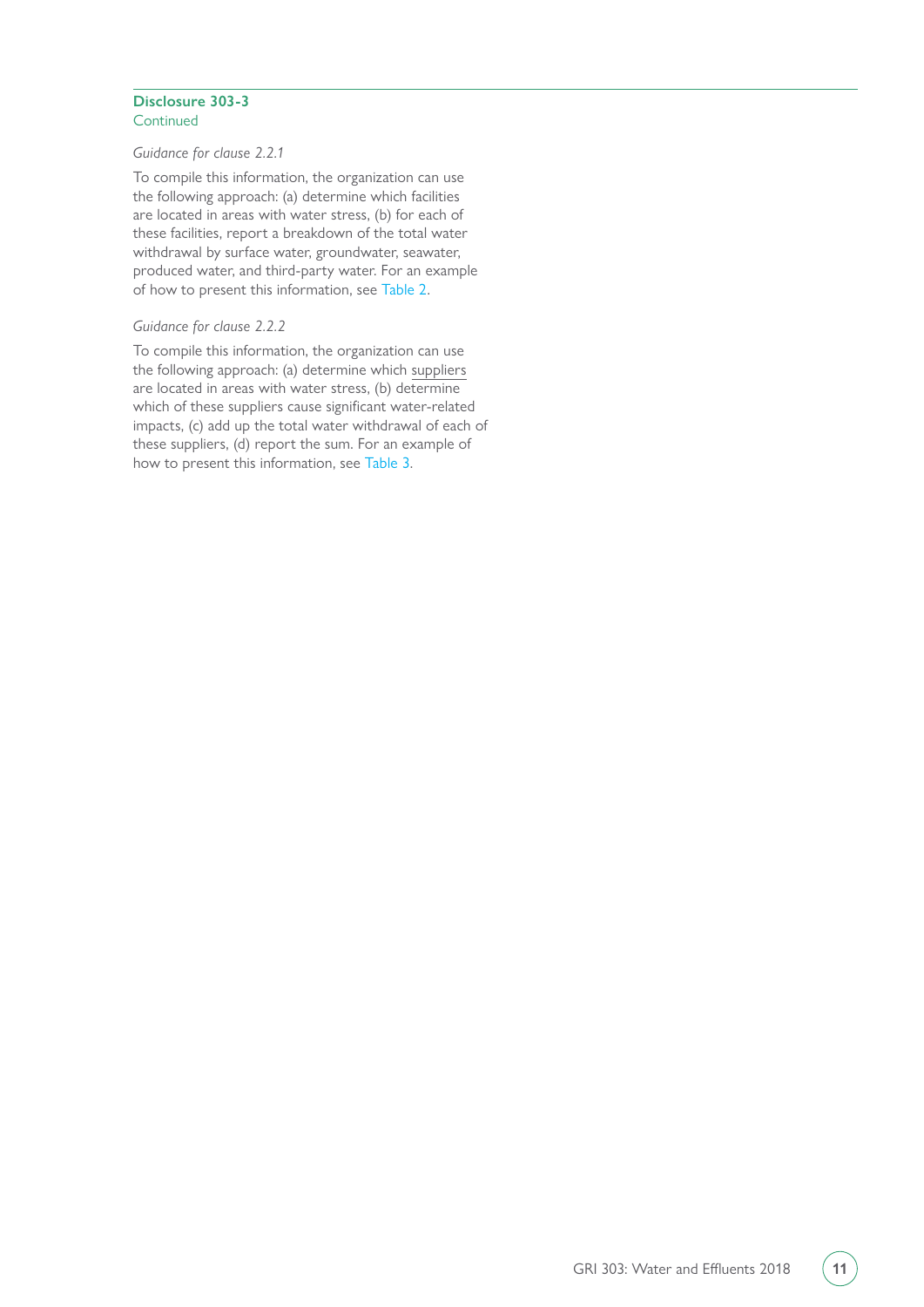#### **Disclosure 303-3 Continued**

#### *Guidance for clause 2.2.1*

To compile this information, the organization can use the following approach: (a) determine which facilities are located in areas with water stress, (b) for each of these facilities, report a breakdown of the total water withdrawal by surface water, groundwater, seawater, produced water, and third-party water. For an example of how to present this information, see [Table 2](#page-16-0).

#### *Guidance for clause 2.2.2*

To compile this information, the organization can use the following approach: (a) determine which [suppliers](#page-19-0) are located in areas with water stress, (b) determine which of these suppliers cause significant water-related impacts, (c) add up the total water withdrawal of each of these suppliers, (d) report the sum. For an example of how to present this information, see [Table 3](#page-16-0).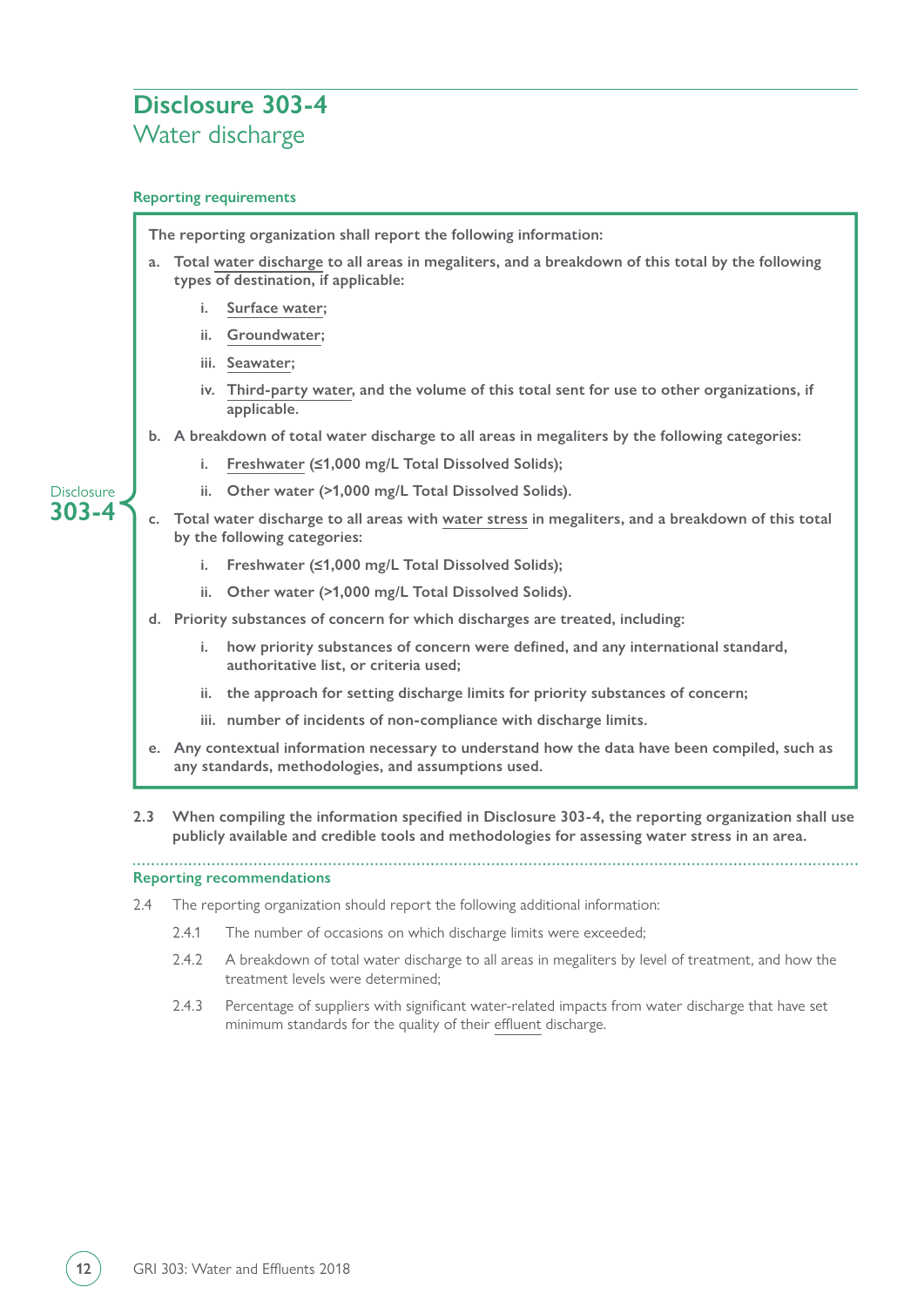## <span id="page-11-0"></span>**Disclosure 303-4** Water discharge

#### **Reporting requirements**

**The reporting organization shall report the following information:**

- **a. Total [water discharge](#page-21-1) to all areas in megaliters, and a breakdown of this total by the following types of destination, if applicable:**
	- **i. [Surface water](#page-20-3);**
	- **ii. [Groundwater;](#page-17-4)**
	- **iii. [Seawater;](#page-19-5)**
	- **iv. [Third-party water,](#page-20-4) and the volume of this total sent for use to other organizations, if applicable.**
- **b. A breakdown of total water discharge to all areas in megaliters by the following categories:** 
	- **i. [Freshwater](#page-17-5) (≤1,000 mg/L Total Dissolved Solids);**
	- **ii. Other water (>1,000 mg/L Total Dissolved Solids).**
- **c. Total water discharge to all areas with [water stress](#page-21-2) in megaliters, and a breakdown of this total by the following categories:** 
	- **i. Freshwater (≤1,000 mg/L Total Dissolved Solids);**
	- **ii. Other water (>1,000 mg/L Total Dissolved Solids).**
- **d. Priority substances of concern for which discharges are treated, including:**
	- **i. how priority substances of concern were defined, and any international standard, authoritative list, or criteria used;**
	- **ii. the approach for setting discharge limits for priority substances of concern;**
	- **iii. number of incidents of non-compliance with discharge limits.**
- **e. Any contextual information necessary to understand how the data have been compiled, such as any standards, methodologies, and assumptions used.**
- **2.3 When compiling the information specified in Disclosure 303-4, the reporting organization shall use publicly available and credible tools and methodologies for assessing water stress in an area.**

#### **Reporting recommendations**

- 2.4 The reporting organization should report the following additional information:
	- 2.4.1 The number of occasions on which discharge limits were exceeded;
	- 2.4.2 A breakdown of total water discharge to all areas in megaliters by level of treatment, and how the treatment levels were determined;
	- 2.4.3 Percentage of suppliers with significant water-related impacts from water discharge that have set minimum standards for the quality of their [effluent](#page-17-2) discharge.

**Disclosure 303-4**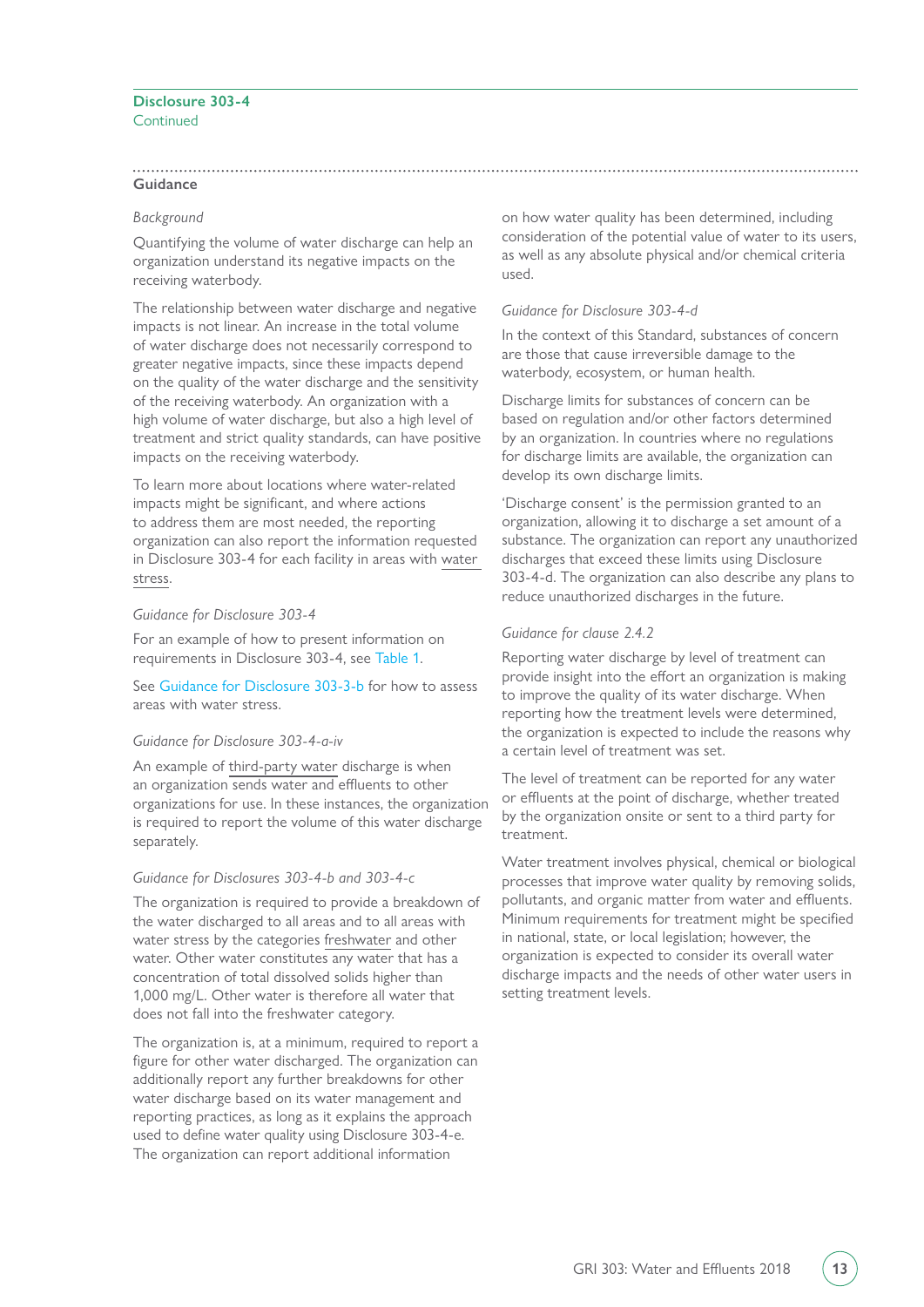#### **Disclosure 303-4 Continued**

#### **Guidance**

#### *Background*

Quantifying the volume of water discharge can help an organization understand its negative impacts on the receiving waterbody.

The relationship between water discharge and negative impacts is not linear. An increase in the total volume of water discharge does not necessarily correspond to greater negative impacts, since these impacts depend on the quality of the water discharge and the sensitivity of the receiving waterbody. An organization with a high volume of water discharge, but also a high level of treatment and strict quality standards, can have positive impacts on the receiving waterbody.

To learn more about locations where water-related impacts might be significant, and where actions to address them are most needed, the reporting organization can also report the information requested in Disclosure 303-4 for each facility in areas with [water](#page-21-2)  [stress](#page-21-2).

#### *Guidance for Disclosure 303-4*

For an example of how to present information on requirements in Disclosure 303-4, see [Table 1.](#page-15-0)

See [Guidance for Disclosure 303-3-b](#page-9-0) for how to assess areas with water stress.

#### *Guidance for Disclosure 303-4-a-iv*

An example of [third-party water](#page-20-4) discharge is when an organization sends water and effluents to other organizations for use. In these instances, the organization is required to report the volume of this water discharge separately.

#### *Guidance for Disclosures 303-4-b and 303-4-c*

The organization is required to provide a breakdown of the water discharged to all areas and to all areas with water stress by the categories [freshwater](#page-17-5) and other water. Other water constitutes any water that has a concentration of total dissolved solids higher than 1,000 mg/L. Other water is therefore all water that does not fall into the freshwater category.

The organization is, at a minimum, required to report a figure for other water discharged. The organization can additionally report any further breakdowns for other water discharge based on its water management and reporting practices, as long as it explains the approach used to define water quality using Disclosure 303-4-e. The organization can report additional information

on how water quality has been determined, including consideration of the potential value of water to its users, as well as any absolute physical and/or chemical criteria used.

#### *Guidance for Disclosure 303-4-d*

In the context of this Standard, substances of concern are those that cause irreversible damage to the waterbody, ecosystem, or human health.

Discharge limits for substances of concern can be based on regulation and/or other factors determined by an organization. In countries where no regulations for discharge limits are available, the organization can develop its own discharge limits.

'Discharge consent' is the permission granted to an organization, allowing it to discharge a set amount of a substance. The organization can report any unauthorized discharges that exceed these limits using Disclosure 303-4-d. The organization can also describe any plans to reduce unauthorized discharges in the future.

#### *Guidance for clause 2.4.2*

Reporting water discharge by level of treatment can provide insight into the effort an organization is making to improve the quality of its water discharge. When reporting how the treatment levels were determined, the organization is expected to include the reasons why a certain level of treatment was set.

The level of treatment can be reported for any water or effluents at the point of discharge, whether treated by the organization onsite or sent to a third party for treatment.

Water treatment involves physical, chemical or biological processes that improve water quality by removing solids, pollutants, and organic matter from water and effluents. Minimum requirements for treatment might be specified in national, state, or local legislation; however, the organization is expected to consider its overall water discharge impacts and the needs of other water users in setting treatment levels.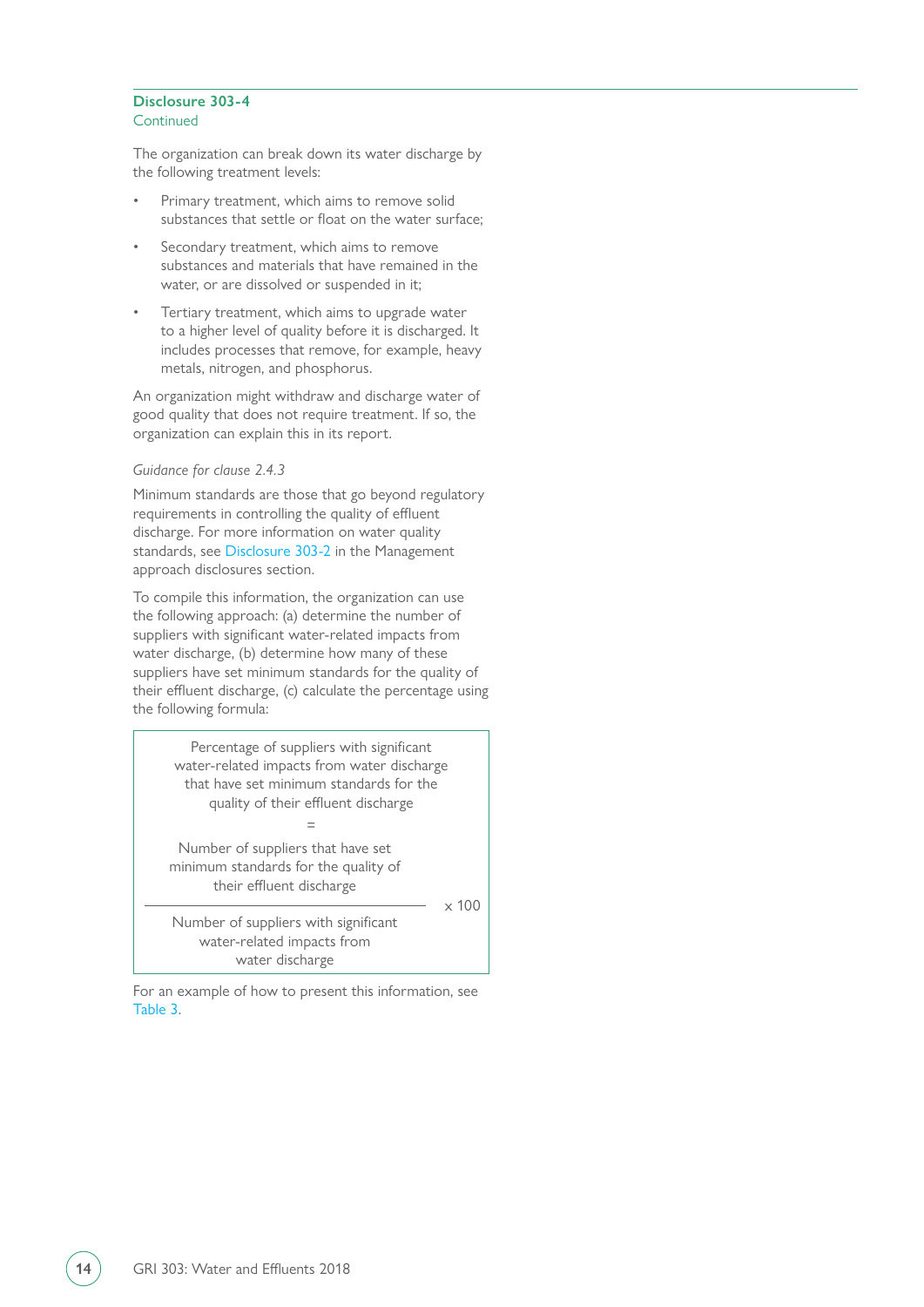#### **Disclosure 303-4 Continued**

The organization can break down its water discharge by the following treatment levels:

- Primary treatment, which aims to remove solid substances that settle or float on the water surface;
- Secondary treatment, which aims to remove substances and materials that have remained in the water, or are dissolved or suspended in it;
- Tertiary treatment, which aims to upgrade water to a higher level of quality before it is discharged. It includes processes that remove, for example, heavy metals, nitrogen, and phosphorus.

An organization might withdraw and discharge water of good quality that does not require treatment. If so, the organization can explain this in its report.

#### *Guidance for clause 2.4.3*

Minimum standards are those that go beyond regulatory requirements in controlling the quality of effluent discharge. For more information on water quality standards, see [Disclosure 303-2](#page-7-0) in the Management approach disclosures section.

To compile this information, the organization can use the following approach: (a) determine the number of suppliers with significant water-related impacts from water discharge, (b) determine how many of these suppliers have set minimum standards for the quality of their effluent discharge, (c) calculate the percentage using the following formula:

| Percentage of suppliers with significant<br>water-related impacts from water discharge<br>that have set minimum standards for the<br>quality of their effluent discharge |              |
|--------------------------------------------------------------------------------------------------------------------------------------------------------------------------|--------------|
|                                                                                                                                                                          |              |
| Number of suppliers that have set<br>minimum standards for the quality of<br>their effluent discharge                                                                    | $\times$ 100 |
| Number of suppliers with significant<br>water-related impacts from<br>water discharge                                                                                    |              |

For an example of how to present this information, see [Table 3.](#page-16-0)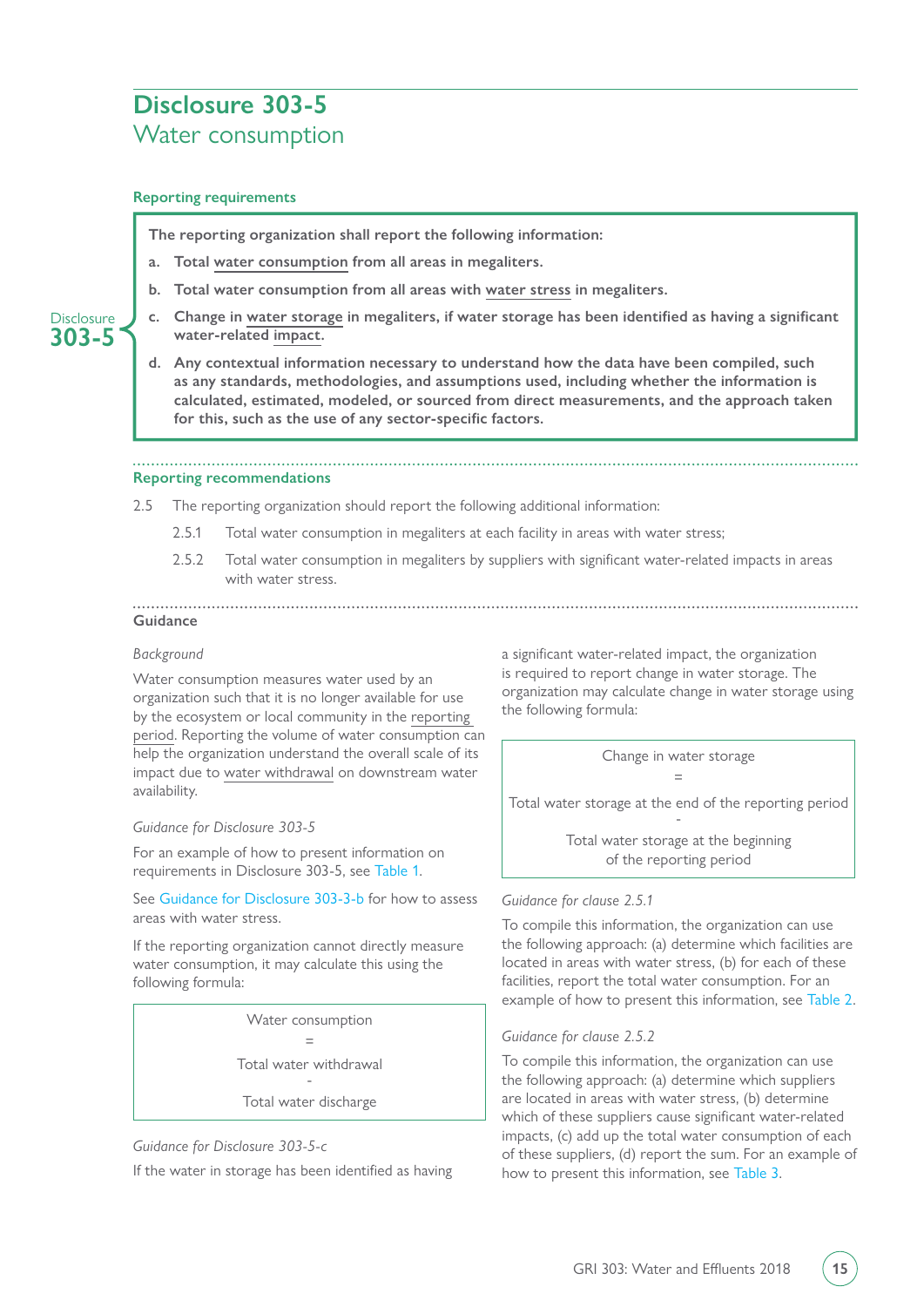## <span id="page-14-0"></span>**Disclosure 303-5** Water consumption

#### **Reporting requirements**

**The reporting organization shall report the following information:**

- **a. Total [water consumption](#page-20-0) from all areas in megaliters.**
- **b. Total water consumption from all areas with [water stress](#page-21-2) in megaliters.**
- **c. Change in [water storage](#page-21-4) in megaliters, if water storage has been identified as having a significant water-related [impact.](#page-17-1)**
- **d. Any contextual information necessary to understand how the data have been compiled, such as any standards, methodologies, and assumptions used, including whether the information is calculated, estimated, modeled, or sourced from direct measurements, and the approach taken for this, such as the use of any sector-specific factors.**

### **Reporting recommendations**

- 2.5 The reporting organization should report the following additional information:
	- 2.5.1 Total water consumption in megaliters at each facility in areas with water stress;
	- 2.5.2 Total water consumption in megaliters by suppliers with significant water-related impacts in areas with water stress.

#### **Guidance**

#### *Background*

Water consumption measures water used by an organization such that it is no longer available for use by the ecosystem or local community in the [reporting](#page-18-6)  [period](#page-18-6). Reporting the volume of water consumption can help the organization understand the overall scale of its impact due to [water withdrawal](#page-21-0) on downstream water availability.

#### *Guidance for Disclosure 303-5*

For an example of how to present information on requirements in Disclosure 303-5, see [Table 1](#page-15-0).

See [Guidance for Disclosure 303-3-b](#page-9-0) for how to assess areas with water stress.

If the reporting organization cannot directly measure water consumption, it may calculate this using the following formula:

> Water consumption = Total water withdrawal Total water discharge

#### *Guidance for Disclosure 303-5-c*

If the water in storage has been identified as having

a significant water-related impact, the organization is required to report change in water storage. The organization may calculate change in water storage using the following formula:

Change in water storage = Total water storage at the end of the reporting period -

Total water storage at the beginning of the reporting period

#### *Guidance for clause 2.5.1*

To compile this information, the organization can use the following approach: (a) determine which facilities are located in areas with water stress, (b) for each of these facilities, report the total water consumption. For an example of how to present this information, see [Table 2.](#page-16-0)

#### *Guidance for clause 2.5.2*

To compile this information, the organization can use the following approach: (a) determine which suppliers are located in areas with water stress, (b) determine which of these suppliers cause significant water-related impacts, (c) add up the total water consumption of each of these suppliers, (d) report the sum. For an example of how to present this information, se[e Table 3](#page-16-0).

## **303-5**

**Disclosure**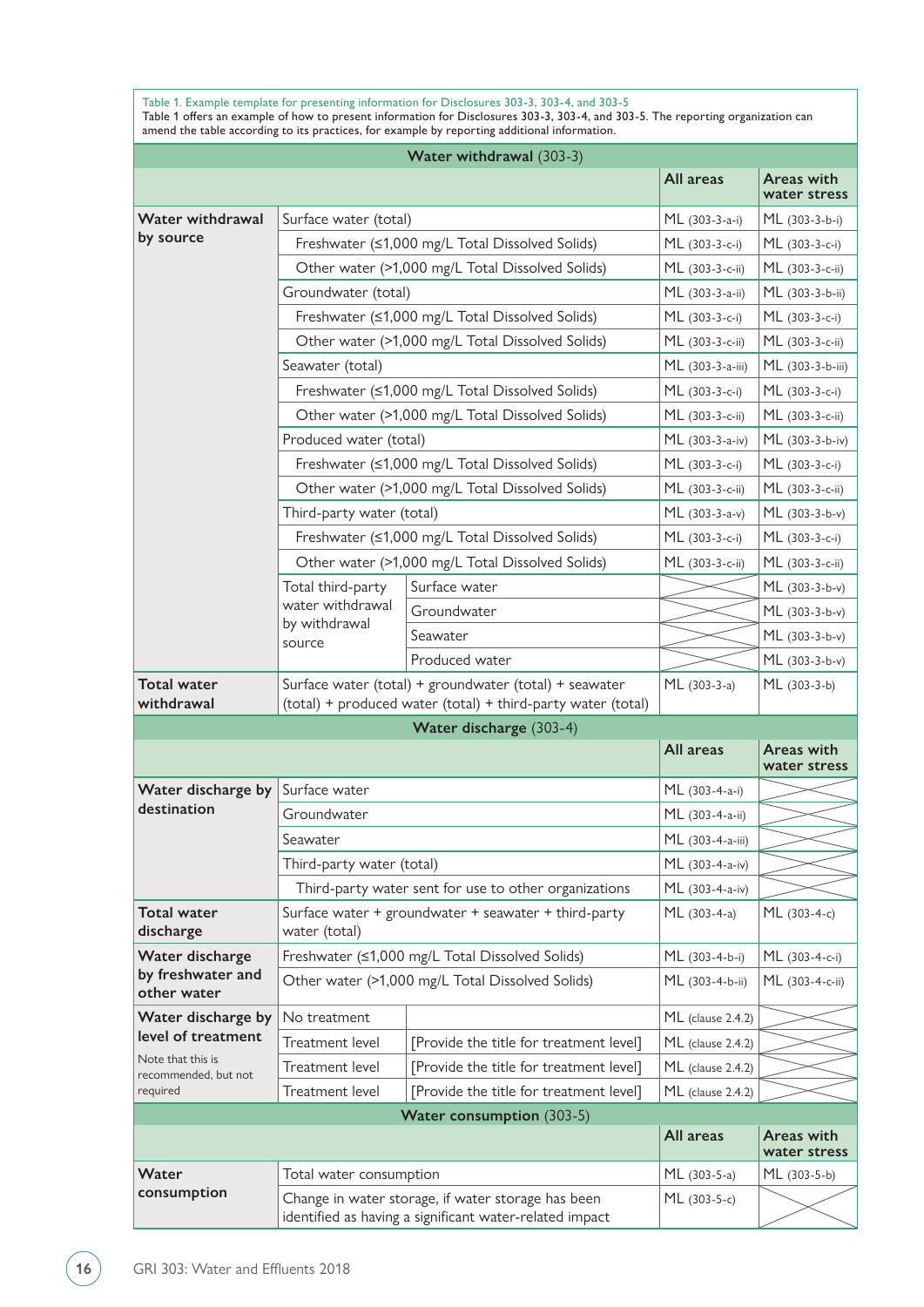<span id="page-15-0"></span>Table 1. Example template for presenting information for Disclosures 303-3, 303-4, and 303-5 Table 1 offers an example of how to present information for Disclosures 303-3, 303-4, and 303-5. The reporting organization can amend the table according to its practices, for example by reporting additional information.

| Water withdrawal (303-3)                  |                                                       |                                                                                                                        |                   |                                   |
|-------------------------------------------|-------------------------------------------------------|------------------------------------------------------------------------------------------------------------------------|-------------------|-----------------------------------|
|                                           |                                                       |                                                                                                                        | <b>All areas</b>  | <b>Areas with</b><br>water stress |
| <b>Water withdrawal</b>                   | Surface water (total)                                 |                                                                                                                        | ML (303-3-a-i)    | $ML$ (303-3-b-i)                  |
| by source                                 |                                                       | Freshwater (≤1,000 mg/L Total Dissolved Solids)                                                                        | ML (303-3-c-i)    | ML (303-3-c-i)                    |
|                                           |                                                       | Other water (>1,000 mg/L Total Dissolved Solids)                                                                       | ML (303-3-c-ii)   | ML (303-3-c-ii)                   |
|                                           | Groundwater (total)                                   |                                                                                                                        | ML (303-3-a-ii)   | ML (303-3-b-ii)                   |
|                                           |                                                       | Freshwater (≤1,000 mg/L Total Dissolved Solids)                                                                        | ML (303-3-c-i)    | ML (303-3-c-i)                    |
|                                           | Other water (>1,000 mg/L Total Dissolved Solids)      | ML (303-3-c-ii)                                                                                                        | ML (303-3-c-ii)   |                                   |
|                                           | Seawater (total)                                      | ML (303-3-a-iii)                                                                                                       | ML (303-3-b-iii)  |                                   |
|                                           | Freshwater (≤1,000 mg/L Total Dissolved Solids)       | ML (303-3-c-i)                                                                                                         | ML (303-3-c-i)    |                                   |
|                                           | Other water (>1,000 mg/L Total Dissolved Solids)      | ML (303-3-c-ii)                                                                                                        | ML (303-3-c-ii)   |                                   |
|                                           | Produced water (total)                                | ML (303-3-a-iv)                                                                                                        | ML (303-3-b-iv)   |                                   |
|                                           | Freshwater (≤1,000 mg/L Total Dissolved Solids)       | ML (303-3-c-i)                                                                                                         | ML (303-3-c-i)    |                                   |
|                                           |                                                       | Other water (>1,000 mg/L Total Dissolved Solids)                                                                       | ML (303-3-c-ii)   | ML (303-3-c-ii)                   |
|                                           | Third-party water (total)                             | ML (303-3-a-v)                                                                                                         | ML (303-3-b-v)    |                                   |
|                                           |                                                       | Freshwater (≤1,000 mg/L Total Dissolved Solids)                                                                        | ML (303-3-c-i)    | ML (303-3-c-i)                    |
|                                           |                                                       | Other water (>1,000 mg/L Total Dissolved Solids)                                                                       | ML (303-3-c-ii)   | ML (303-3-c-ii)                   |
|                                           | Total third-party                                     | Surface water                                                                                                          |                   | ML (303-3-b-v)                    |
|                                           | water withdrawal                                      | Groundwater                                                                                                            |                   | ML (303-3-b-v)                    |
|                                           | by withdrawal<br>source                               | Seawater                                                                                                               |                   | ML (303-3-b-v)                    |
|                                           |                                                       | Produced water                                                                                                         |                   | ML (303-3-b-v)                    |
| <b>Total water</b><br>withdrawal          |                                                       | Surface water (total) + groundwater (total) + seawater<br>(total) + produced water (total) + third-party water (total) | ML (303-3-a)      | $ML$ (303-3-b)                    |
|                                           |                                                       | Water discharge (303-4)                                                                                                |                   |                                   |
|                                           |                                                       |                                                                                                                        | All areas         | <b>Areas with</b><br>water stress |
| Water discharge by                        | Surface water                                         |                                                                                                                        | ML (303-4-a-i)    |                                   |
| destination                               | Groundwater                                           | ML (303-4-a-ii)                                                                                                        |                   |                                   |
|                                           | Seawater                                              | ML (303-4-a-iii)                                                                                                       |                   |                                   |
|                                           | Third-party water (total)                             |                                                                                                                        | ML (303-4-a-iv)   |                                   |
|                                           | Third-party water sent for use to other organizations |                                                                                                                        | ML (303-4-a-iv)   |                                   |
| <b>Total water</b><br>discharge           | water (total)                                         | Surface water + groundwater + seawater + third-party                                                                   |                   | ML (303-4-c)                      |
| Water discharge                           | Freshwater (≤1,000 mg/L Total Dissolved Solids)       |                                                                                                                        | ML (303-4-b-i)    | ML (303-4-c-i)                    |
| by freshwater and<br>other water          |                                                       | Other water (>1,000 mg/L Total Dissolved Solids)                                                                       | ML (303-4-b-ii)   | ML (303-4-c-ii)                   |
| Water discharge by                        | No treatment                                          |                                                                                                                        | ML (clause 2.4.2) |                                   |
| level of treatment                        | Treatment level                                       | [Provide the title for treatment level]                                                                                | ML (clause 2.4.2) |                                   |
| Note that this is<br>recommended, but not | Treatment level                                       | [Provide the title for treatment level]                                                                                | ML (clause 2.4.2) |                                   |
| required                                  | Treatment level                                       | [Provide the title for treatment level]                                                                                | ML (clause 2.4.2) |                                   |
|                                           |                                                       | <b>Water consumption (303-5)</b>                                                                                       |                   |                                   |
|                                           |                                                       |                                                                                                                        | All areas         | <b>Areas with</b><br>water stress |
| Water                                     | Total water consumption                               |                                                                                                                        | ML (303-5-a)      | ML (303-5-b)                      |
| consumption                               |                                                       | Change in water storage, if water storage has been<br>identified as having a significant water-related impact          | $ML$ (303-5-c)    |                                   |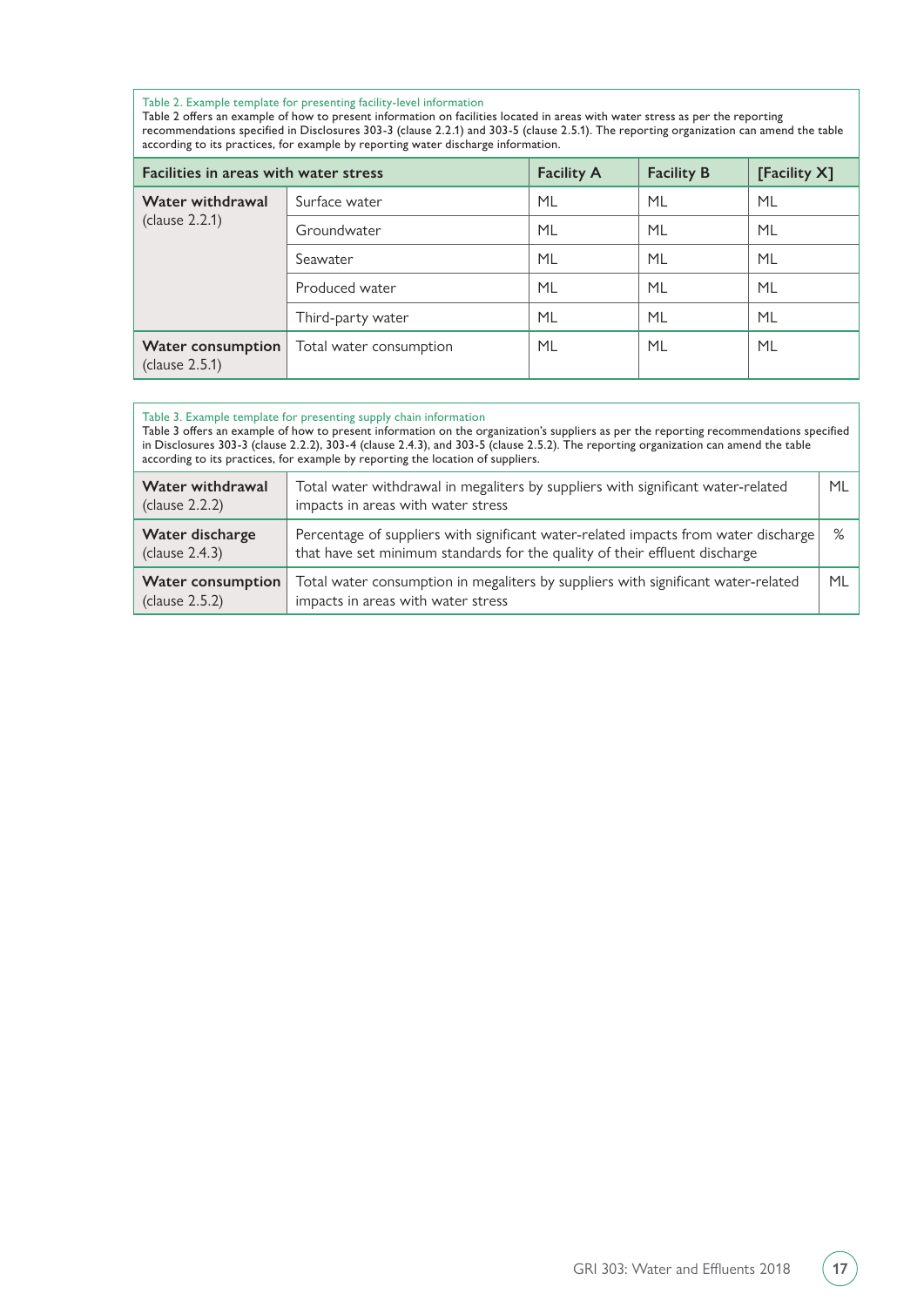#### <span id="page-16-0"></span>Table 2. Example template for presenting facility-level information

Table 2 offers an example of how to present information on facilities located in areas with water stress as per the reporting recommendations specified in Disclosures 303-3 (clause 2.2.1) and 303-5 (clause 2.5.1). The reporting organization can amend the table according to its practices, for example by reporting water discharge information.

| Facilities in areas with water stress      |                         | <b>Facility A</b> | <b>Facility B</b> | [Facility X] |
|--------------------------------------------|-------------------------|-------------------|-------------------|--------------|
| Water withdrawal                           | Surface water           | ML                | ML                | ML           |
| (clause 2.2.1)                             | Groundwater             | ML                | ML                | ML           |
|                                            | Seawater                | ML                | ML                | ML           |
|                                            | Produced water          | ML                | ML                | ML           |
|                                            | Third-party water       | ML                | ML                | ML           |
| <b>Water consumption</b><br>(clause 2.5.1) | Total water consumption | ML                | ML                | ML           |

| Table 3. Example template for presenting supply chain information<br>Table 3 offers an example of how to present information on the organization's suppliers as per the reporting recommendations specified<br>in Disclosures 303-3 (clause 2.2.2), 303-4 (clause 2.4.3), and 303-5 (clause 2.5.2). The reporting organization can amend the table<br>according to its practices, for example by reporting the location of suppliers. |                                                                                                                                                                    |    |  |
|---------------------------------------------------------------------------------------------------------------------------------------------------------------------------------------------------------------------------------------------------------------------------------------------------------------------------------------------------------------------------------------------------------------------------------------|--------------------------------------------------------------------------------------------------------------------------------------------------------------------|----|--|
| <b>Water withdrawal</b><br>clause 2.2.2)                                                                                                                                                                                                                                                                                                                                                                                              | Total water withdrawal in megaliters by suppliers with significant water-related<br>impacts in areas with water stress                                             | ML |  |
| Water discharge<br>(clause 2.4.3)                                                                                                                                                                                                                                                                                                                                                                                                     | Percentage of suppliers with significant water-related impacts from water discharge<br>that have set minimum standards for the quality of their effluent discharge | %  |  |
| Water consumption<br>(clause 2.5.2)                                                                                                                                                                                                                                                                                                                                                                                                   | Total water consumption in megaliters by suppliers with significant water-related<br>impacts in areas with water stress                                            | MI |  |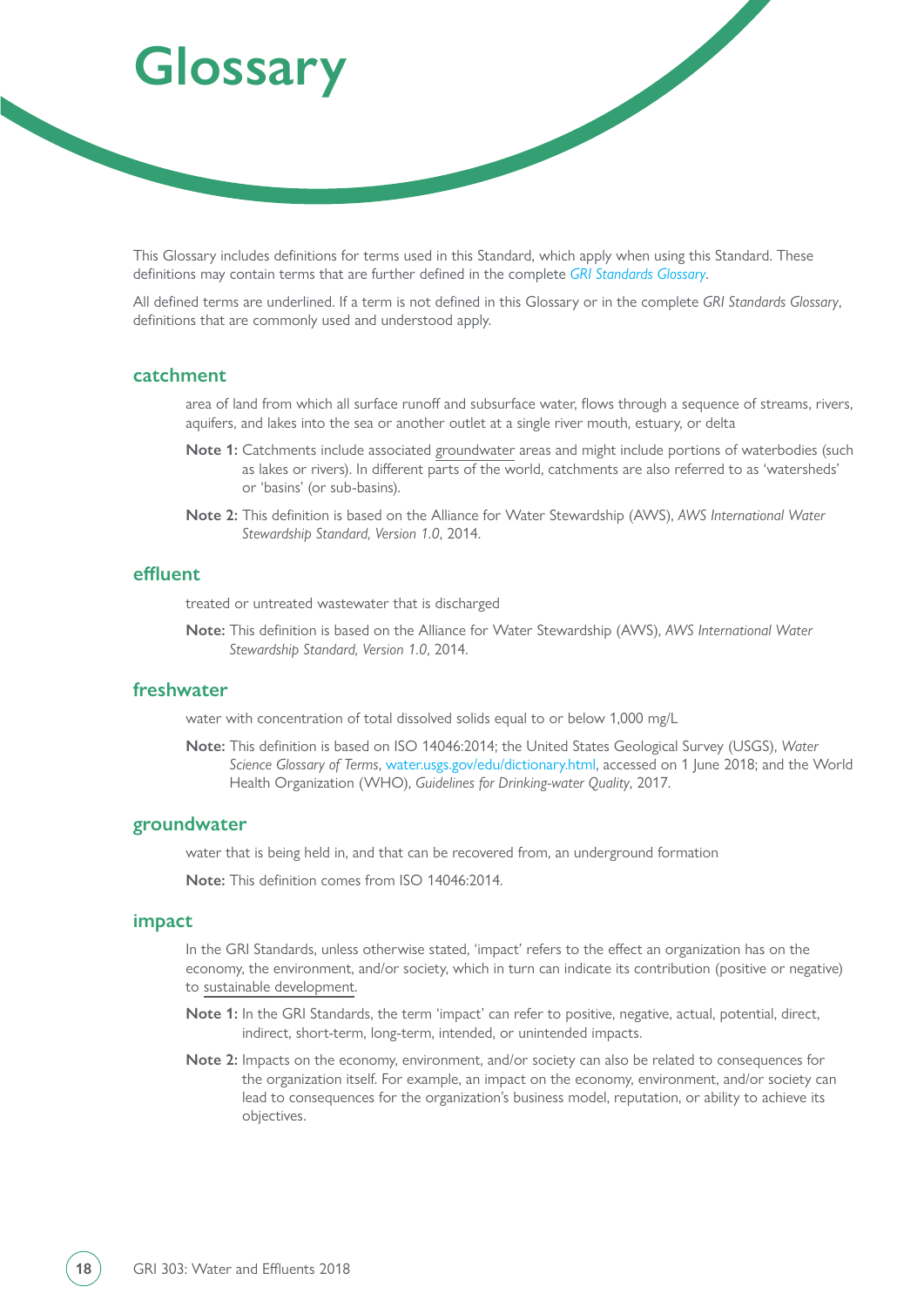# <span id="page-17-0"></span>**Glossary**

This Glossary includes definitions for terms used in this Standard, which apply when using this Standard. These definitions may contain terms that are further defined in the complete *[GRI Standards Glossary](https://www.globalreporting.org/standards/media/1913/gri-standards-glossary.pdf)*.

All defined terms are underlined. If a term is not defined in this Glossary or in the complete *GRI Standards Glossary*, definitions that are commonly used and understood apply.

#### <span id="page-17-3"></span>**catchment**

area of land from which all surface runoff and subsurface water, flows through a sequence of streams, rivers, aquifers, and lakes into the sea or another outlet at a single river mouth, estuary, or delta

- **Note 1:** Catchments include associated [groundwater](#page-17-4) areas and might include portions of waterbodies (such as lakes or rivers). In different parts of the world, catchments are also referred to as 'watersheds' or 'basins' (or sub-basins).
- **Note 2:** This definition is based on the Alliance for Water Stewardship (AWS), *AWS International Water Stewardship Standard, Version 1.0*, 2014.

#### <span id="page-17-2"></span>**effluent**

treated or untreated wastewater that is discharged

**Note:** This definition is based on the Alliance for Water Stewardship (AWS), *AWS International Water Stewardship Standard, Version 1.0*, 2014.

#### <span id="page-17-5"></span>**freshwater**

water with concentration of total dissolved solids equal to or below 1,000 mg/L

**Note:** This definition is based on ISO 14046:2014; the United States Geological Survey (USGS), *Water Science Glossary of Terms*, [water.usgs.gov/edu/dictionary.html](https://water.usgs.gov/edu/dictionary.html), accessed on 1 June 2018; and the World Health Organization (WHO), *Guidelines for Drinking-water Quality*, 2017.

#### <span id="page-17-4"></span>**groundwater**

water that is being held in, and that can be recovered from, an underground formation

**Note:** This definition comes from ISO 14046:2014.

#### <span id="page-17-1"></span>**impact**

In the GRI Standards, unless otherwise stated, 'impact' refers to the effect an organization has on the economy, the environment, and/or society, which in turn can indicate its contribution (positive or negative) to [sustainable development.](https://www.globalreporting.org/standards/media/1913/gri-standards-glossary.pdf)

- **Note 1:** In the GRI Standards, the term 'impact' can refer to positive, negative, actual, potential, direct, indirect, short-term, long-term, intended, or unintended impacts.
- **Note 2:** Impacts on the economy, environment, and/or society can also be related to consequences for the organization itself. For example, an impact on the economy, environment, and/or society can lead to consequences for the organization's business model, reputation, or ability to achieve its objectives.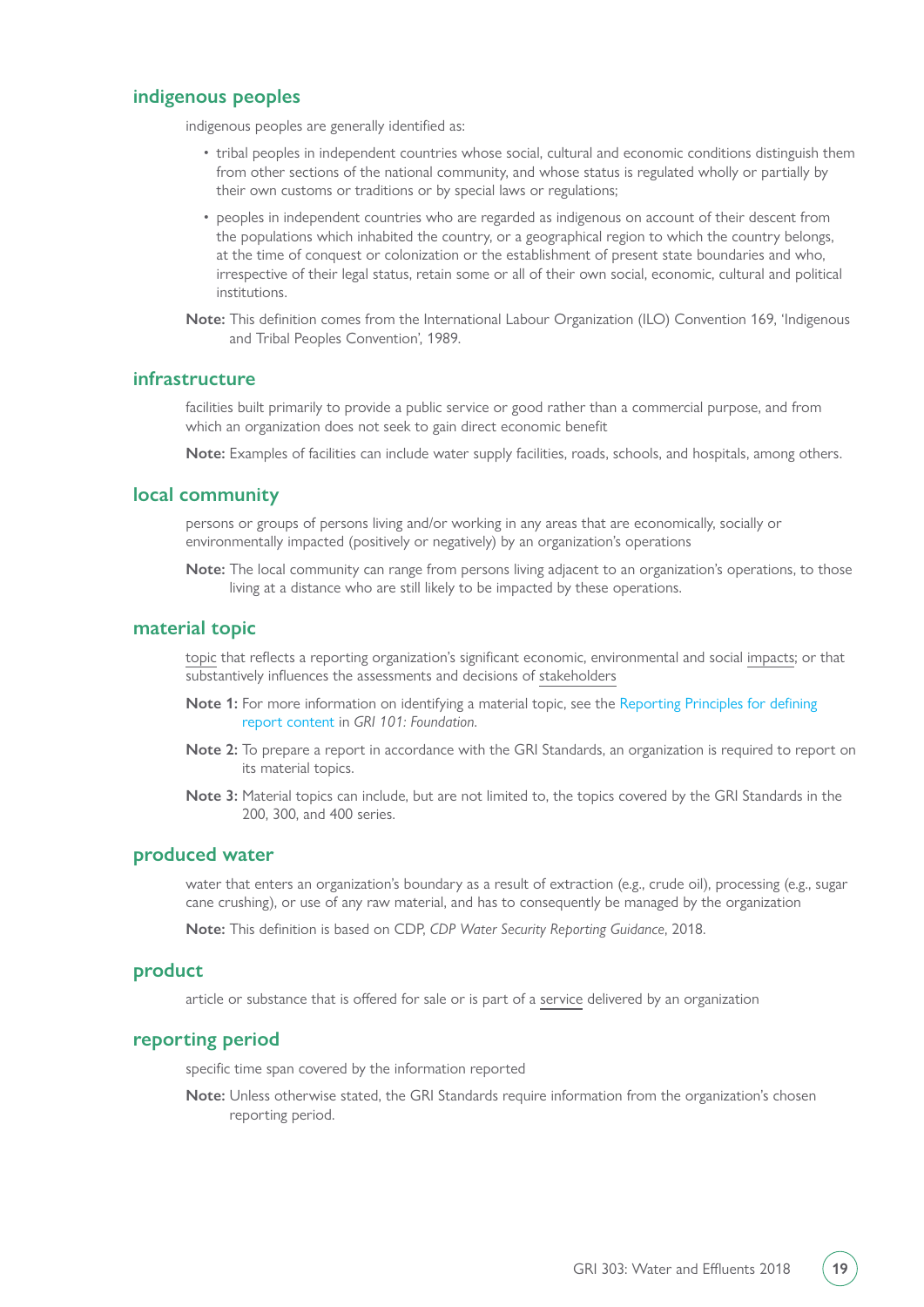#### <span id="page-18-2"></span>**indigenous peoples**

indigenous peoples are generally identified as:

- tribal peoples in independent countries whose social, cultural and economic conditions distinguish them from other sections of the national community, and whose status is regulated wholly or partially by their own customs or traditions or by special laws or regulations;
- peoples in independent countries who are regarded as indigenous on account of their descent from the populations which inhabited the country, or a geographical region to which the country belongs, at the time of conquest or colonization or the establishment of present state boundaries and who, irrespective of their legal status, retain some or all of their own social, economic, cultural and political institutions.
- **Note:** This definition comes from the International Labour Organization (ILO) Convention 169, 'Indigenous and Tribal Peoples Convention', 1989.

#### <span id="page-18-4"></span>**infrastructure**

facilities built primarily to provide a public service or good rather than a commercial purpose, and from which an organization does not seek to gain direct economic benefit

**Note:** Examples of facilities can include water supply facilities, roads, schools, and hospitals, among others.

#### <span id="page-18-1"></span>**local community**

persons or groups of persons living and/or working in any areas that are economically, socially or environmentally impacted (positively or negatively) by an organization's operations

**Note:** The local community can range from persons living adjacent to an organization's operations, to those living at a distance who are still likely to be impacted by these operations.

#### <span id="page-18-0"></span>**material topic**

[topic](https://www.globalreporting.org/standards/media/1913/gri-standards-glossary.pdf) that reflects a reporting organization's significant economic, environmental and social [impacts](#page-17-1); or that substantively influences the assessments and decisions of [stakeholders](#page-19-3)

- **Note 1:** For more information on identifying a material topic, see the [Reporting Principles for defining](https://www.globalreporting.org/standards/media/1036/gri-101-foundation-2016.pdf#page=8)  [report content](https://www.globalreporting.org/standards/media/1036/gri-101-foundation-2016.pdf#page=8) in *GRI 101: Foundation*.
- **Note 2:** To prepare a report in accordance with the GRI Standards, an organization is required to report on its material topics.
- **Note 3:** Material topics can include, but are not limited to, the topics covered by the GRI Standards in the 200, 300, and 400 series.

#### <span id="page-18-5"></span>**produced water**

water that enters an organization's boundary as a result of extraction (e.g., crude oil), processing (e.g., sugar cane crushing), or use of any raw material, and has to consequently be managed by the organization

**Note:** This definition is based on CDP, *CDP Water Security Reporting Guidance*, 2018.

#### <span id="page-18-3"></span>**product**

article or substance that is offered for sale or is part of a [service](#page-19-2) delivered by an organization

#### <span id="page-18-6"></span>**reporting period**

specific time span covered by the information reported

**Note:** Unless otherwise stated, the GRI Standards require information from the organization's chosen reporting period.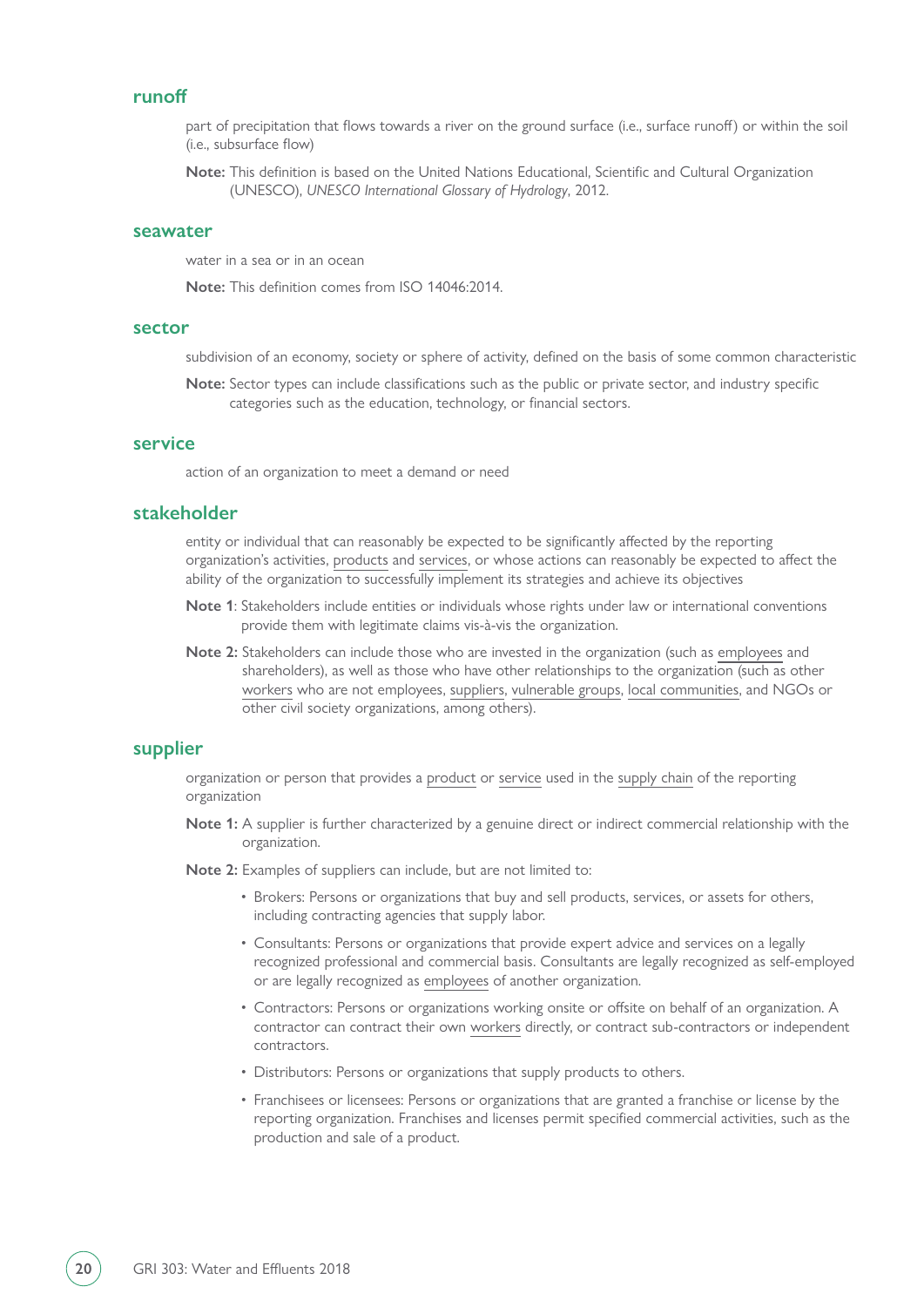#### <span id="page-19-1"></span>**runoff**

part of precipitation that flows towards a river on the ground surface (i.e., surface runoff) or within the soil (i.e., subsurface flow)

**Note:** This definition is based on the United Nations Educational, Scientific and Cultural Organization (UNESCO), *UNESCO International Glossary of Hydrology*, 2012.

#### <span id="page-19-5"></span>**seawater**

water in a sea or in an ocean

**Note:** This definition comes from ISO 14046:2014.

#### <span id="page-19-4"></span>**sector**

subdivision of an economy, society or sphere of activity, defined on the basis of some common characteristic

**Note:** Sector types can include classifications such as the public or private sector, and industry specific categories such as the education, technology, or financial sectors.

#### <span id="page-19-2"></span>**service**

action of an organization to meet a demand or need

#### <span id="page-19-3"></span>**stakeholder**

entity or individual that can reasonably be expected to be significantly affected by the reporting organization's activities, [products](#page-18-3) and [services](#page-19-2), or whose actions can reasonably be expected to affect the ability of the organization to successfully implement its strategies and achieve its objectives

- **Note 1**: Stakeholders include entities or individuals whose rights under law or international conventions provide them with legitimate claims vis-à-vis the organization.
- **Note 2:** Stakeholders can include those who are invested in the organization (such as [employees](https://www.globalreporting.org/standards/media/1913/gri-standards-glossary.pdf) and shareholders), as well as those who have other relationships to the organization (such as other [workers](https://www.globalreporting.org/standards/media/1913/gri-standards-glossary.pdf) who are not employees, [suppliers](#page-19-0), [vulnerable groups](https://www.globalreporting.org/standards/media/1913/gri-standards-glossary.pdf), [local communities](#page-18-1), and NGOs or other civil society organizations, among others).

#### <span id="page-19-0"></span>**supplier**

organization or person that provides a [product](#page-18-3) or [service](#page-19-2) used in the [supply chain](https://www.globalreporting.org/standards/media/1913/gri-standards-glossary.pdf) of the reporting organization

**Note 1:** A supplier is further characterized by a genuine direct or indirect commercial relationship with the organization.

**Note 2:** Examples of suppliers can include, but are not limited to:

- Brokers: Persons or organizations that buy and sell products, services, or assets for others, including contracting agencies that supply labor.
- Consultants: Persons or organizations that provide expert advice and services on a legally recognized professional and commercial basis. Consultants are legally recognized as self-employed or are legally recognized as [employees](https://www.globalreporting.org/standards/media/1913/gri-standards-glossary.pdf) of another organization.
- Contractors: Persons or organizations working onsite or offsite on behalf of an organization. A contractor can contract their own [workers](https://www.globalreporting.org/standards/media/1913/gri-standards-glossary.pdf) directly, or contract sub-contractors or independent contractors.
- Distributors: Persons or organizations that supply products to others.
- Franchisees or licensees: Persons or organizations that are granted a franchise or license by the reporting organization. Franchises and licenses permit specified commercial activities, such as the production and sale of a product.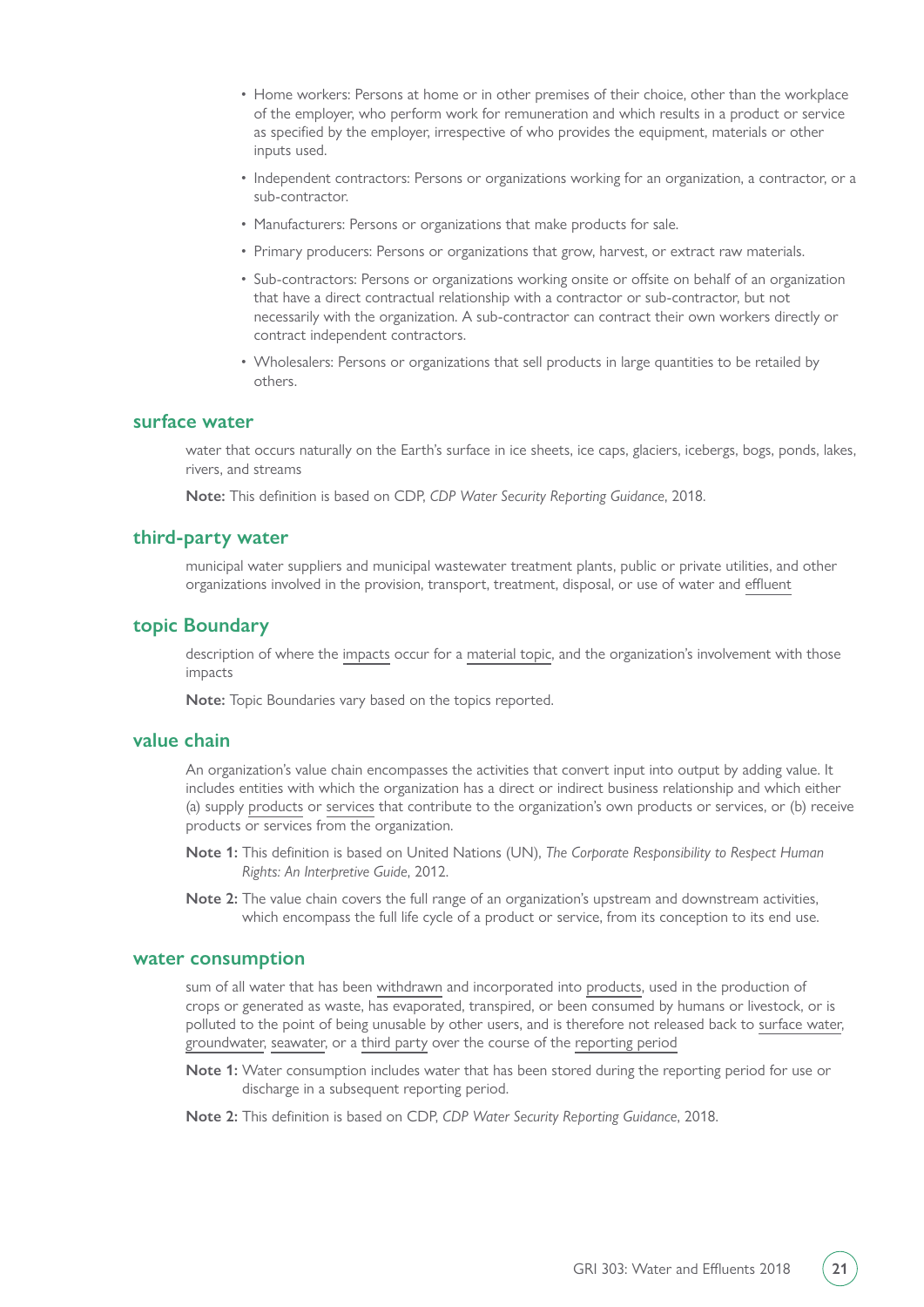- Home workers: Persons at home or in other premises of their choice, other than the workplace of the employer, who perform work for remuneration and which results in a product or service as specified by the employer, irrespective of who provides the equipment, materials or other inputs used.
- Independent contractors: Persons or organizations working for an organization, a contractor, or a sub-contractor.
- Manufacturers: Persons or organizations that make products for sale.
- Primary producers: Persons or organizations that grow, harvest, or extract raw materials.
- Sub-contractors: Persons or organizations working onsite or offsite on behalf of an organization that have a direct contractual relationship with a contractor or sub-contractor, but not necessarily with the organization. A sub-contractor can contract their own workers directly or contract independent contractors.
- Wholesalers: Persons or organizations that sell products in large quantities to be retailed by others.

#### <span id="page-20-3"></span>**surface water**

water that occurs naturally on the Earth's surface in ice sheets, ice caps, glaciers, icebergs, bogs, ponds, lakes, rivers, and streams

**Note:** This definition is based on CDP, *CDP Water Security Reporting Guidance*, 2018.

#### <span id="page-20-4"></span>**third-party water**

municipal water suppliers and municipal wastewater treatment plants, public or private utilities, and other organizations involved in the provision, transport, treatment, disposal, or use of water and [effluent](#page-17-2)

#### <span id="page-20-2"></span>**topic Boundary**

description of where the [impacts](#page-17-1) occur for a [material topic,](#page-18-0) and the organization's involvement with those impacts

**Note:** Topic Boundaries vary based on the topics reported.

#### <span id="page-20-1"></span>**value chain**

An organization's value chain encompasses the activities that convert input into output by adding value. It includes entities with which the organization has a direct or indirect business relationship and which either (a) supply [products](#page-18-3) or [services](#page-19-2) that contribute to the organization's own products or services, or (b) receive products or services from the organization.

- **Note 1:** This definition is based on United Nations (UN), *The Corporate Responsibility to Respect Human Rights: An Interpretive Guide*, 2012.
- **Note 2:** The value chain covers the full range of an organization's upstream and downstream activities, which encompass the full life cycle of a product or service, from its conception to its end use.

#### <span id="page-20-0"></span>**water consumption**

sum of all water that has been [withdrawn](#page-21-0) and incorporated into [products,](#page-18-3) used in the production of crops or generated as waste, has evaporated, transpired, or been consumed by humans or livestock, or is polluted to the point of being unusable by other users, and is therefore not released back to [surface water](#page-20-3), [groundwater](#page-17-4), [seawater](#page-19-5), or a [third party](#page-20-4) over the course of the [reporting period](#page-18-6)

- **Note 1:** Water consumption includes water that has been stored during the reporting period for use or discharge in a subsequent reporting period.
- **Note 2:** This definition is based on CDP, *CDP Water Security Reporting Guidance*, 2018.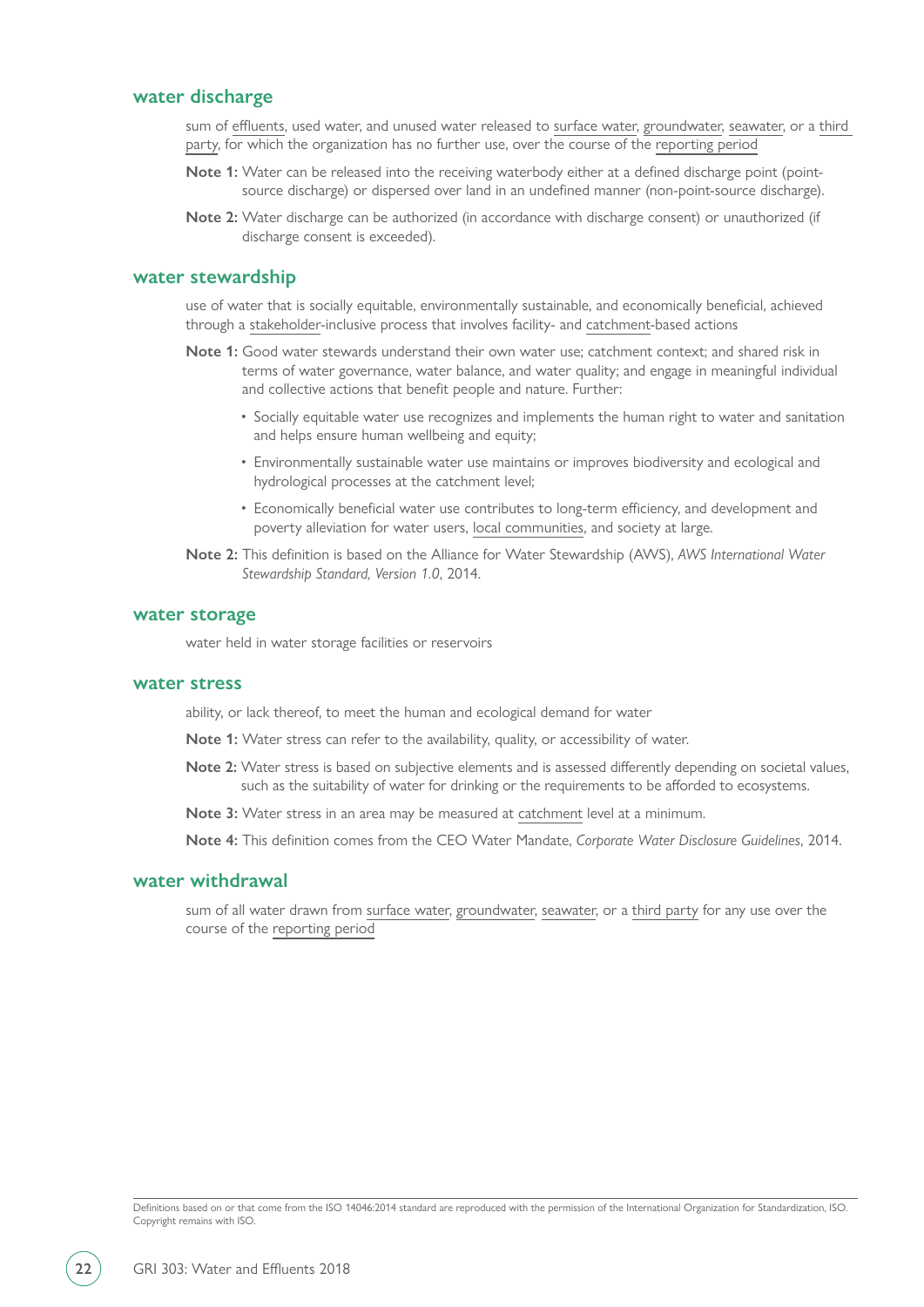#### <span id="page-21-1"></span>**water discharge**

sum of [effluents](#page-17-2), used water, and unused water released to [surface water](#page-20-3), [groundwater](#page-17-4), [seawater](#page-19-5), or a [third](#page-20-4)  [party](#page-20-4), for which the organization has no further use, over the course of the [reporting period](#page-18-6)

- **Note 1:** Water can be released into the receiving waterbody either at a defined discharge point (pointsource discharge) or dispersed over land in an undefined manner (non-point-source discharge).
- **Note 2:** Water discharge can be authorized (in accordance with discharge consent) or unauthorized (if discharge consent is exceeded).

#### <span id="page-21-3"></span>**water stewardship**

use of water that is socially equitable, environmentally sustainable, and economically beneficial, achieved through a [stakeholder-](#page-19-3)inclusive process that involves facility- and [catchment-](#page-17-3)based actions

- **Note 1:** Good water stewards understand their own water use; catchment context; and shared risk in terms of water governance, water balance, and water quality; and engage in meaningful individual and collective actions that benefit people and nature. Further:
	- Socially equitable water use recognizes and implements the human right to water and sanitation and helps ensure human wellbeing and equity;
	- Environmentally sustainable water use maintains or improves biodiversity and ecological and hydrological processes at the catchment level;
	- Economically beneficial water use contributes to long-term efficiency, and development and poverty alleviation for water users, [local communities](#page-18-1), and society at large.
- **Note 2:** This definition is based on the Alliance for Water Stewardship (AWS), *AWS International Water Stewardship Standard, Version 1.0*, 2014.

#### <span id="page-21-4"></span>**water storage**

water held in water storage facilities or reservoirs

#### <span id="page-21-2"></span>**water stress**

ability, or lack thereof, to meet the human and ecological demand for water

**Note 1:** Water stress can refer to the availability, quality, or accessibility of water.

- **Note 2:** Water stress is based on subjective elements and is assessed differently depending on societal values, such as the suitability of water for drinking or the requirements to be afforded to ecosystems.
- **Note 3:** Water stress in an area may be measured at [catchment](#page-17-3) level at a minimum.
- **Note 4:** This definition comes from the CEO Water Mandate, *Corporate Water Disclosure Guidelines*, 2014.

#### <span id="page-21-0"></span>**water withdrawal**

sum of all water drawn from [surface water,](#page-20-3) [groundwater,](#page-17-4) [seawater,](#page-19-5) or a [third party](#page-20-4) for any use over the course of the [reporting period](#page-18-6)

Definitions based on or that come from the ISO 14046:2014 standard are reproduced with the permission of the International Organization for Standardization, ISO. Copyright remains with ISO.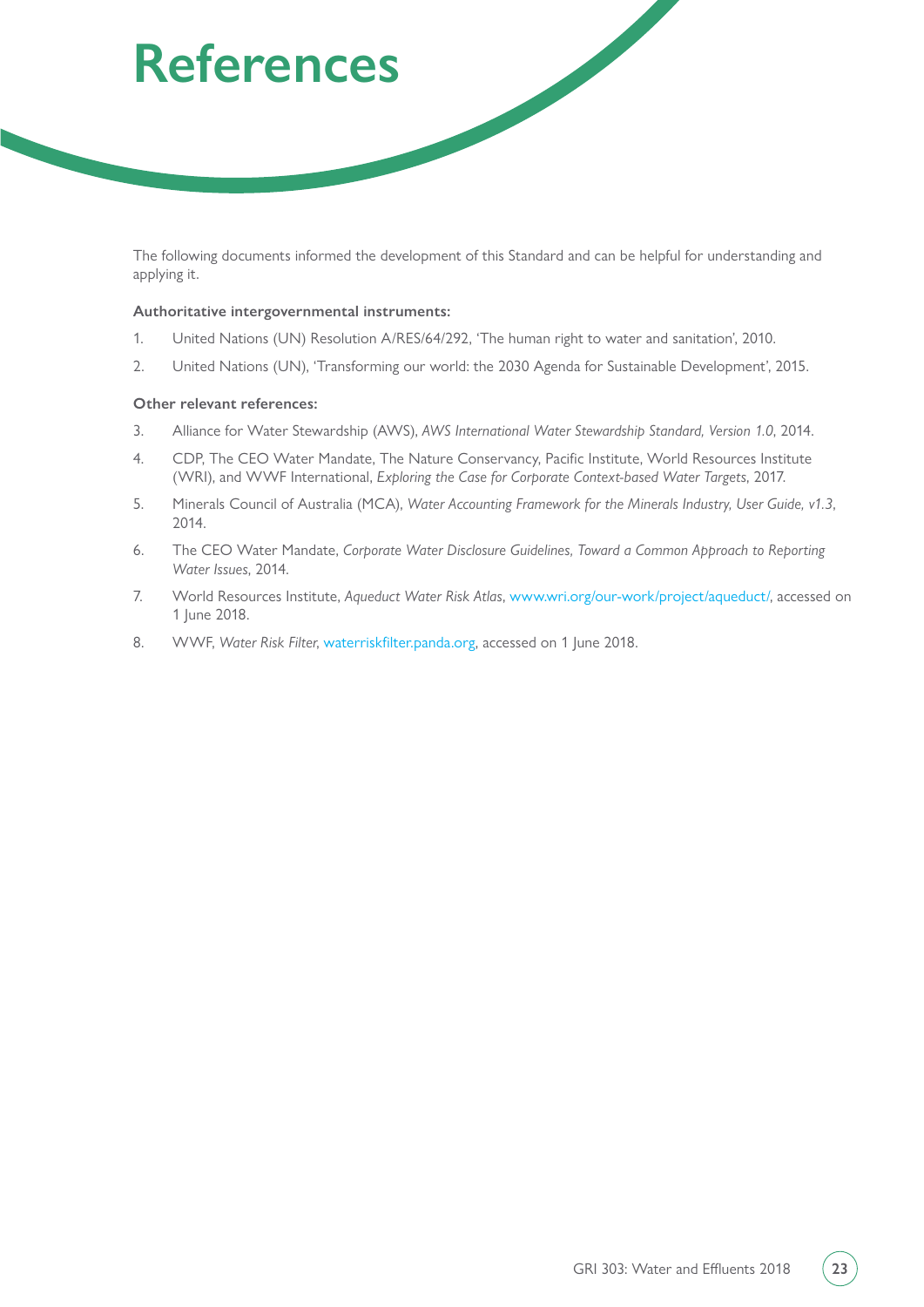# <span id="page-22-0"></span>**References**

The following documents informed the development of this Standard and can be helpful for understanding and applying it.

#### **Authoritative intergovernmental instruments:**

- 1. United Nations (UN) Resolution A/RES/64/292, 'The human right to water and sanitation', 2010.
- 2. United Nations (UN), 'Transforming our world: the 2030 Agenda for Sustainable Development', 2015.

#### **Other relevant references:**

- 3. Alliance for Water Stewardship (AWS), *AWS International Water Stewardship Standard, Version 1.0*, 2014.
- 4. CDP, The CEO Water Mandate, The Nature Conservancy, Pacific Institute, World Resources Institute (WRI), and WWF International, *Exploring the Case for Corporate Context-based Water Targets*, 2017.
- 5. Minerals Council of Australia (MCA), *Water Accounting Framework for the Minerals Industry, User Guide, v1.3*, 2014.
- 6. The CEO Water Mandate, *Corporate Water Disclosure Guidelines, Toward a Common Approach to Reporting Water Issues*, 2014.
- 7. World Resources Institute, *Aqueduct Water Risk Atlas*, [www.wri.org/our-work/project/aqueduct/](http://www.wri.org/our-work/project/aqueduct/), accessed on 1 June 2018.
- 8. WWF, *Water Risk Filter*, [waterriskfilter.panda.org](http://waterriskfilter.panda.org), accessed on 1 June 2018.